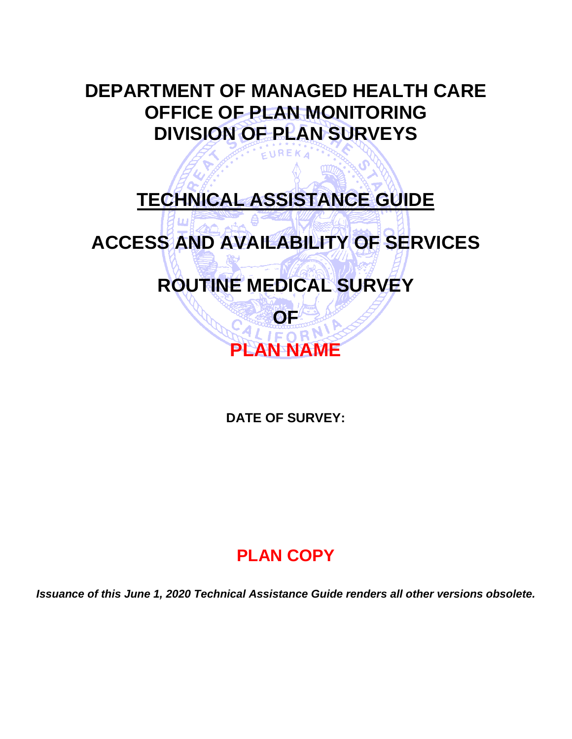## **DEPARTMENT OF MANAGED HEALTH CARE OFFICE OF PLAN MONITORING DIVISION OF PLAN SURVEYS**

 $EUREKA$ 

## **TECHNICAL ASSISTANCE GUIDE**

## **ACCESS AND AVAILABILITY OF SERVICES**

## **ROUTINE MEDICAL SURVEY**

# **PLAN NAME**

**OF**

**DATE OF SURVEY:**

## **PLAN COPY**

*Issuance of this June 1, 2020 Technical Assistance Guide renders all other versions obsolete.*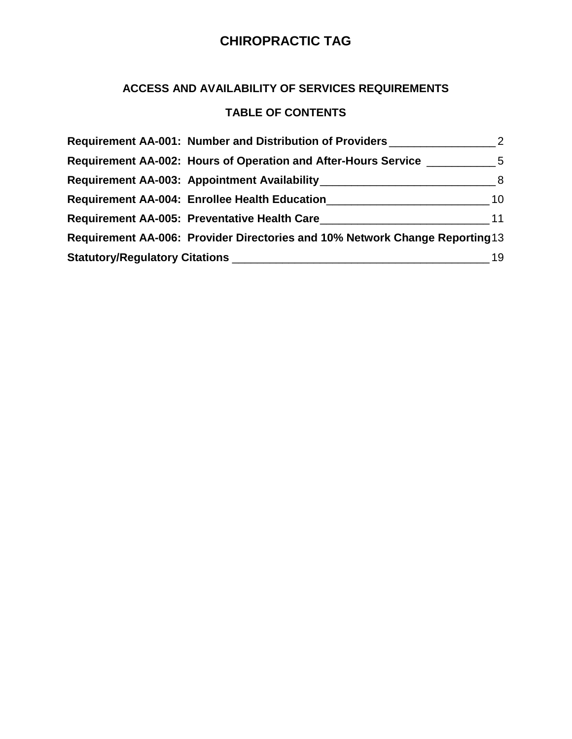#### **ACCESS AND AVAILABILITY OF SERVICES REQUIREMENTS**

#### **TABLE OF CONTENTS**

| Requirement AA-001: Number and Distribution of Providers                          |    |
|-----------------------------------------------------------------------------------|----|
| Requirement AA-002: Hours of Operation and After-Hours Service __________________ |    |
| Requirement AA-003: Appointment Availability Manuscriptus Assets and Availability |    |
| Requirement AA-004: Enrollee Health Education___________________________________  | 10 |
| Requirement AA-005: Preventative Health Care                                      | 11 |
| Requirement AA-006: Provider Directories and 10% Network Change Reporting 13      |    |
|                                                                                   | 19 |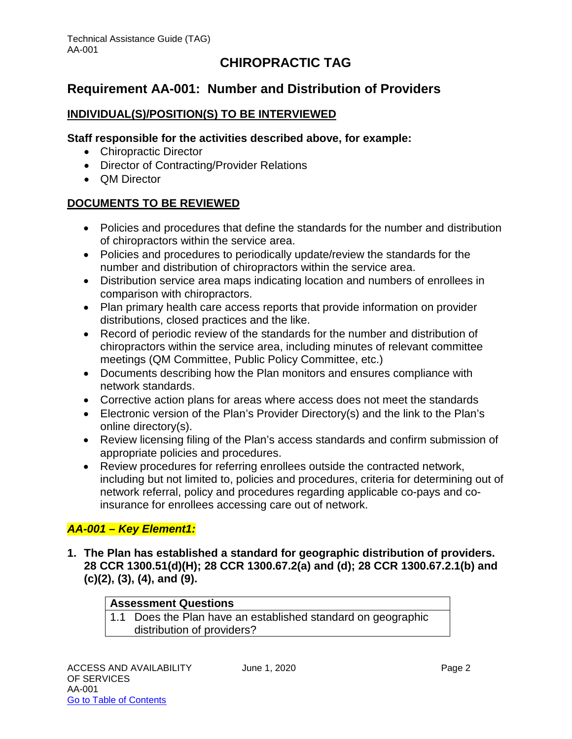## <span id="page-2-0"></span>**Requirement AA-001: Number and Distribution of Providers**

#### **INDIVIDUAL(S)/POSITION(S) TO BE INTERVIEWED**

#### **Staff responsible for the activities described above, for example:**

- Chiropractic Director
- Director of Contracting/Provider Relations
- QM Director

#### **DOCUMENTS TO BE REVIEWED**

- Policies and procedures that define the standards for the number and distribution of chiropractors within the service area.
- Policies and procedures to periodically update/review the standards for the number and distribution of chiropractors within the service area.
- Distribution service area maps indicating location and numbers of enrollees in comparison with chiropractors.
- Plan primary health care access reports that provide information on provider distributions, closed practices and the like.
- Record of periodic review of the standards for the number and distribution of chiropractors within the service area, including minutes of relevant committee meetings (QM Committee, Public Policy Committee, etc.)
- Documents describing how the Plan monitors and ensures compliance with network standards.
- Corrective action plans for areas where access does not meet the standards
- Electronic version of the Plan's Provider Directory(s) and the link to the Plan's online directory(s).
- Review licensing filing of the Plan's access standards and confirm submission of appropriate policies and procedures.
- Review procedures for referring enrollees outside the contracted network, including but not limited to, policies and procedures, criteria for determining out of network referral, policy and procedures regarding applicable co-pays and coinsurance for enrollees accessing care out of network.

#### *AA-001 – Key Element1:*

**1. The Plan has established a standard for geographic distribution of providers. 28 CCR 1300.51(d)(H); 28 CCR 1300.67.2(a) and (d); 28 CCR 1300.67.2.1(b) and (c)(2), (3), (4), and (9).**

#### **Assessment Questions**

1.1 Does the Plan have an established standard on geographic distribution of providers?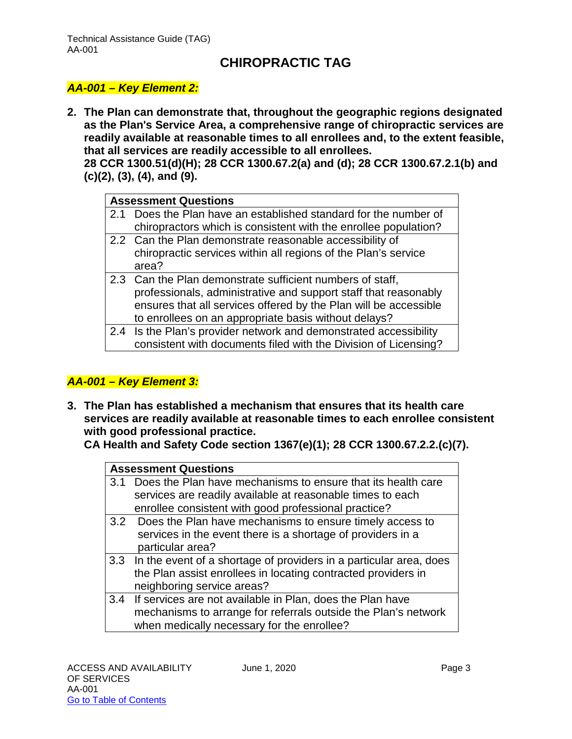#### *AA-001 – Key Element 2:*

**2. The Plan can demonstrate that, throughout the geographic regions designated as the Plan's Service Area, a comprehensive range of chiropractic services are readily available at reasonable times to all enrollees and, to the extent feasible, that all services are readily accessible to all enrollees.**

**28 CCR 1300.51(d)(H); 28 CCR 1300.67.2(a) and (d); 28 CCR 1300.67.2.1(b) and (c)(2), (3), (4), and (9).**

| 2.1 Does the Plan have an established standard for the number of  |
|-------------------------------------------------------------------|
| chiropractors which is consistent with the enrollee population?   |
|                                                                   |
| chiropractic services within all regions of the Plan's service    |
|                                                                   |
|                                                                   |
| professionals, administrative and support staff that reasonably   |
| ensures that all services offered by the Plan will be accessible  |
|                                                                   |
| 2.4 Is the Plan's provider network and demonstrated accessibility |
| consistent with documents filed with the Division of Licensing?   |
|                                                                   |

#### *AA-001 – Key Element 3:*

**3. The Plan has established a mechanism that ensures that its health care services are readily available at reasonable times to each enrollee consistent with good professional practice.** 

**CA Health and Safety Code section 1367(e)(1); 28 CCR 1300.67.2.2.(c)(7).**

| <b>Assessment Questions</b>                                            |
|------------------------------------------------------------------------|
| 3.1 Does the Plan have mechanisms to ensure that its health care       |
| services are readily available at reasonable times to each             |
| enrollee consistent with good professional practice?                   |
| 3.2 Does the Plan have mechanisms to ensure timely access to           |
| services in the event there is a shortage of providers in a            |
| particular area?                                                       |
| 3.3 In the event of a shortage of providers in a particular area, does |
| the Plan assist enrollees in locating contracted providers in          |
| neighboring service areas?                                             |
| 3.4 If services are not available in Plan, does the Plan have          |
| mechanisms to arrange for referrals outside the Plan's network         |
| when medically necessary for the enrollee?                             |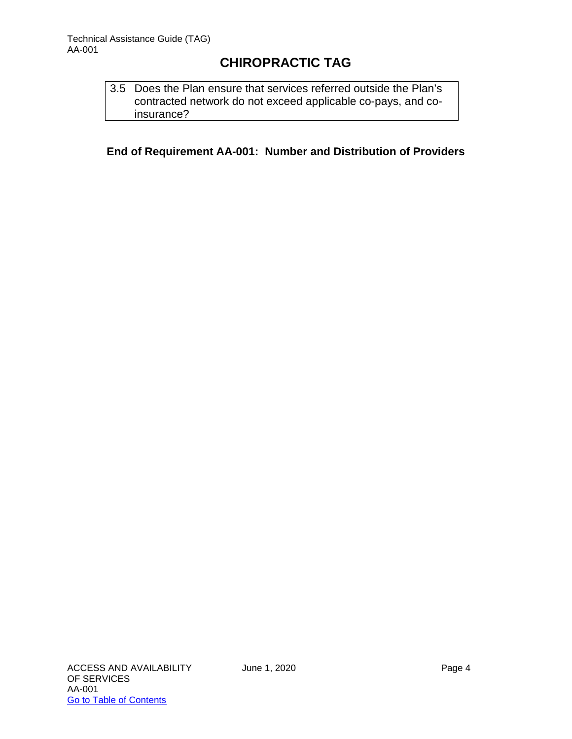3.5 Does the Plan ensure that services referred outside the Plan's contracted network do not exceed applicable co-pays, and coinsurance?

**End of Requirement AA-001: Number and Distribution of Providers**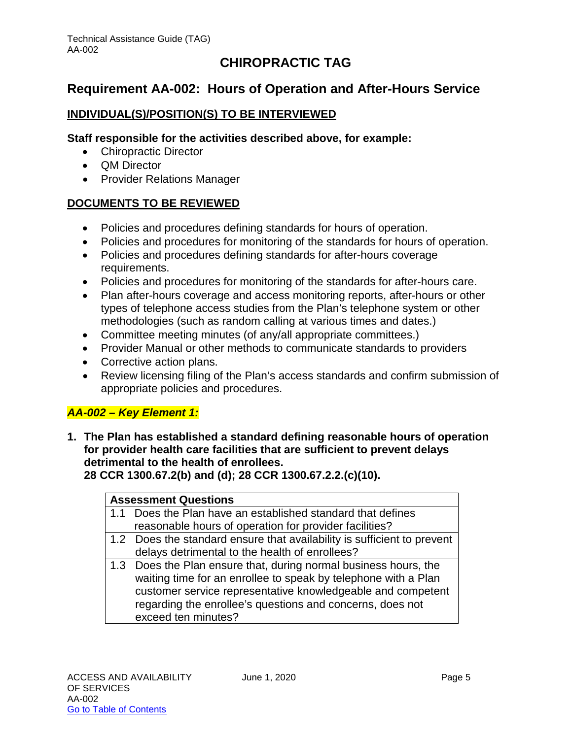## <span id="page-5-0"></span>**Requirement AA-002: Hours of Operation and After-Hours Service**

#### **INDIVIDUAL(S)/POSITION(S) TO BE INTERVIEWED**

#### **Staff responsible for the activities described above, for example:**

- Chiropractic Director
- QM Director
- Provider Relations Manager

#### **DOCUMENTS TO BE REVIEWED**

- Policies and procedures defining standards for hours of operation.
- Policies and procedures for monitoring of the standards for hours of operation.
- Policies and procedures defining standards for after-hours coverage requirements.
- Policies and procedures for monitoring of the standards for after-hours care.
- Plan after-hours coverage and access monitoring reports, after-hours or other types of telephone access studies from the Plan's telephone system or other methodologies (such as random calling at various times and dates.)
- Committee meeting minutes (of any/all appropriate committees.)
- Provider Manual or other methods to communicate standards to providers
- Corrective action plans.
- Review licensing filing of the Plan's access standards and confirm submission of appropriate policies and procedures.

#### *AA-002 – Key Element 1:*

**1. The Plan has established a standard defining reasonable hours of operation for provider health care facilities that are sufficient to prevent delays detrimental to the health of enrollees.** 

**28 CCR 1300.67.2(b) and (d); 28 CCR 1300.67.2.2.(c)(10).**

#### **Assessment Questions**

- 1.1 Does the Plan have an established standard that defines reasonable hours of operation for provider facilities?
- 1.2 Does the standard ensure that availability is sufficient to prevent delays detrimental to the health of enrollees?
- 1.3 Does the Plan ensure that, during normal business hours, the waiting time for an enrollee to speak by telephone with a Plan customer service representative knowledgeable and competent regarding the enrollee's questions and concerns, does not exceed ten minutes?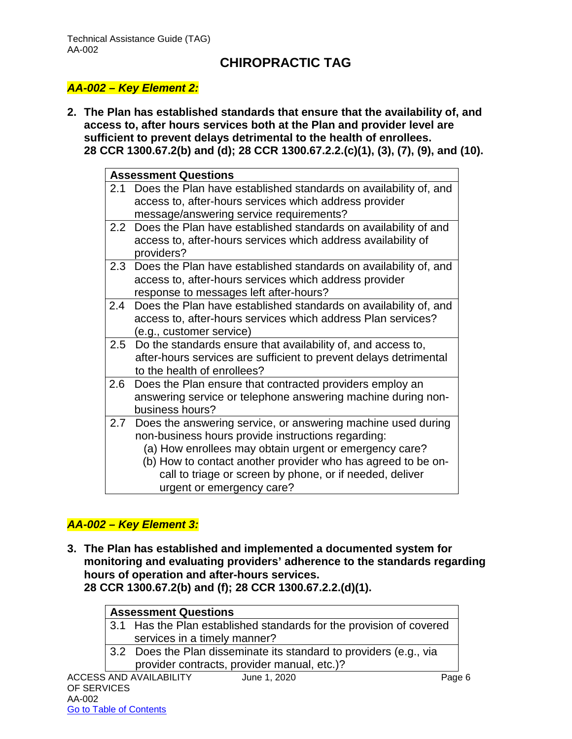#### *AA-002 – Key Element 2:*

**2. The Plan has established standards that ensure that the availability of, and access to, after hours services both at the Plan and provider level are sufficient to prevent delays detrimental to the health of enrollees. 28 CCR 1300.67.2(b) and (d); 28 CCR 1300.67.2.2.(c)(1), (3), (7), (9), and (10).**

|         | <b>Assessment Questions</b>                                                                                                                                                                                                                                                                                                           |
|---------|---------------------------------------------------------------------------------------------------------------------------------------------------------------------------------------------------------------------------------------------------------------------------------------------------------------------------------------|
| 2.1     | Does the Plan have established standards on availability of, and<br>access to, after-hours services which address provider<br>message/answering service requirements?                                                                                                                                                                 |
|         | 2.2 Does the Plan have established standards on availability of and<br>access to, after-hours services which address availability of<br>providers?                                                                                                                                                                                    |
| 2.3     | Does the Plan have established standards on availability of, and<br>access to, after-hours services which address provider<br>response to messages left after-hours?                                                                                                                                                                  |
| 2.4     | Does the Plan have established standards on availability of, and<br>access to, after-hours services which address Plan services?<br>(e.g., customer service)                                                                                                                                                                          |
|         | 2.5 Do the standards ensure that availability of, and access to,<br>after-hours services are sufficient to prevent delays detrimental<br>to the health of enrollees?                                                                                                                                                                  |
| $2.6\,$ | Does the Plan ensure that contracted providers employ an<br>answering service or telephone answering machine during non-<br>business hours?                                                                                                                                                                                           |
| 2.7     | Does the answering service, or answering machine used during<br>non-business hours provide instructions regarding:<br>(a) How enrollees may obtain urgent or emergency care?<br>(b) How to contact another provider who has agreed to be on-<br>call to triage or screen by phone, or if needed, deliver<br>urgent or emergency care? |

#### *AA-002 – Key Element 3:*

Go to Table of Contents

**3. The Plan has established and implemented a documented system for monitoring and evaluating providers' adherence to the standards regarding hours of operation and after-hours services. 28 CCR 1300.67.2(b) and (f); 28 CCR 1300.67.2.2.(d)(1).**

|             | <b>Assessment Questions</b>                                         |        |
|-------------|---------------------------------------------------------------------|--------|
|             | 3.1 Has the Plan established standards for the provision of covered |        |
|             | services in a timely manner?                                        |        |
|             | 3.2 Does the Plan disseminate its standard to providers (e.g., via  |        |
|             | provider contracts, provider manual, etc.)?                         |        |
|             | <b>ACCESS AND AVAILABILITY</b><br>June 1, 2020                      | Page 6 |
| OF SERVICES |                                                                     |        |
| AA-002      |                                                                     |        |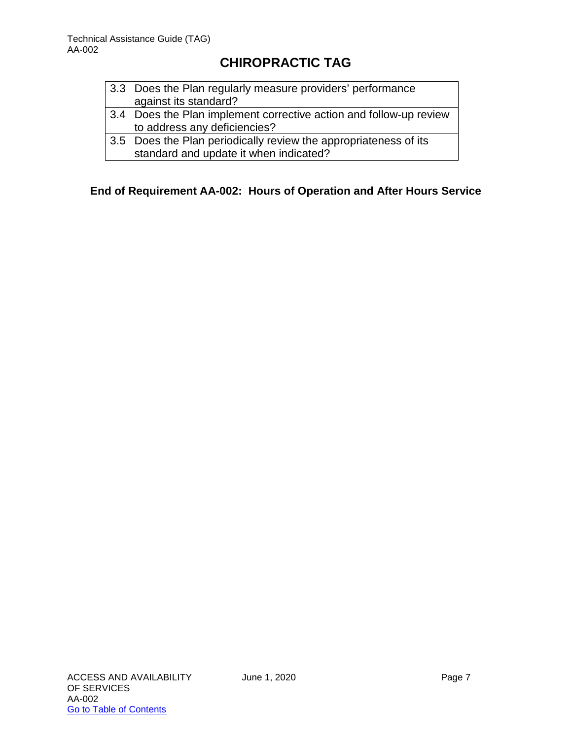| 3.3 Does the Plan regularly measure providers' performance |
|------------------------------------------------------------|
| against its standard?                                      |

- 3.4 Does the Plan implement corrective action and follow-up review to address any deficiencies?
- 3.5 Does the Plan periodically review the appropriateness of its standard and update it when indicated?

**End of Requirement AA-002: Hours of Operation and After Hours Service**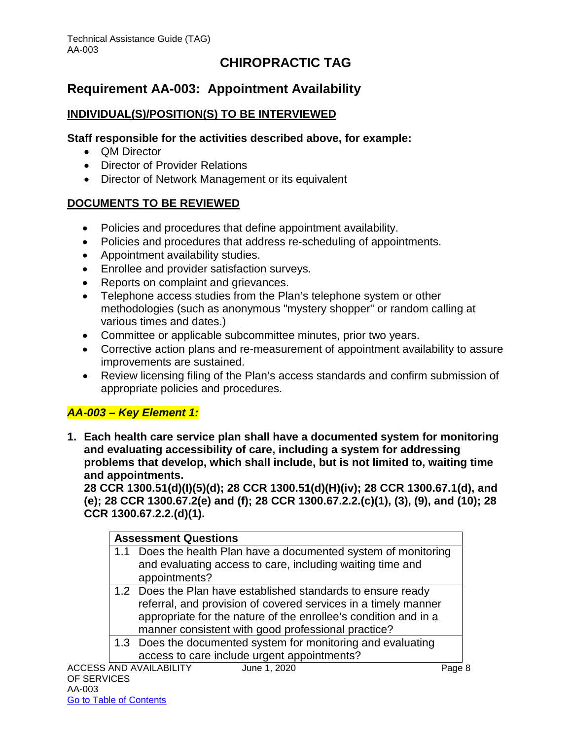## <span id="page-8-0"></span>**Requirement AA-003: Appointment Availability**

#### **INDIVIDUAL(S)/POSITION(S) TO BE INTERVIEWED**

#### **Staff responsible for the activities described above, for example:**

- QM Director
- Director of Provider Relations
- Director of Network Management or its equivalent

#### **DOCUMENTS TO BE REVIEWED**

- Policies and procedures that define appointment availability.
- Policies and procedures that address re-scheduling of appointments.
- Appointment availability studies.
- Enrollee and provider satisfaction surveys.
- Reports on complaint and grievances.
- Telephone access studies from the Plan's telephone system or other methodologies (such as anonymous "mystery shopper" or random calling at various times and dates.)
- Committee or applicable subcommittee minutes, prior two years.
- Corrective action plans and re-measurement of appointment availability to assure improvements are sustained.
- Review licensing filing of the Plan's access standards and confirm submission of appropriate policies and procedures.

#### *AA-003 – Key Element 1:*

**1. Each health care service plan shall have a documented system for monitoring and evaluating accessibility of care, including a system for addressing problems that develop, which shall include, but is not limited to, waiting time and appointments.**

**28 CCR 1300.51(d)(I)(5)(d); 28 CCR 1300.51(d)(H)(iv); 28 CCR 1300.67.1(d), and (e); 28 CCR 1300.67.2(e) and (f); 28 CCR 1300.67.2.2.(c)(1), (3), (9), and (10); 28 CCR 1300.67.2.2.(d)(1).**

| <b>Assessment Questions</b>                                                                                                                                                                                                                             |        |
|---------------------------------------------------------------------------------------------------------------------------------------------------------------------------------------------------------------------------------------------------------|--------|
| 1.1 Does the health Plan have a documented system of monitoring<br>and evaluating access to care, including waiting time and<br>appointments?                                                                                                           |        |
| 1.2 Does the Plan have established standards to ensure ready<br>referral, and provision of covered services in a timely manner<br>appropriate for the nature of the enrollee's condition and in a<br>manner consistent with good professional practice? |        |
| 1.3 Does the documented system for monitoring and evaluating<br>access to care include urgent appointments?                                                                                                                                             |        |
| <b>ACCESS AND AVAILABILITY</b><br>June 1, 2020                                                                                                                                                                                                          | Page 8 |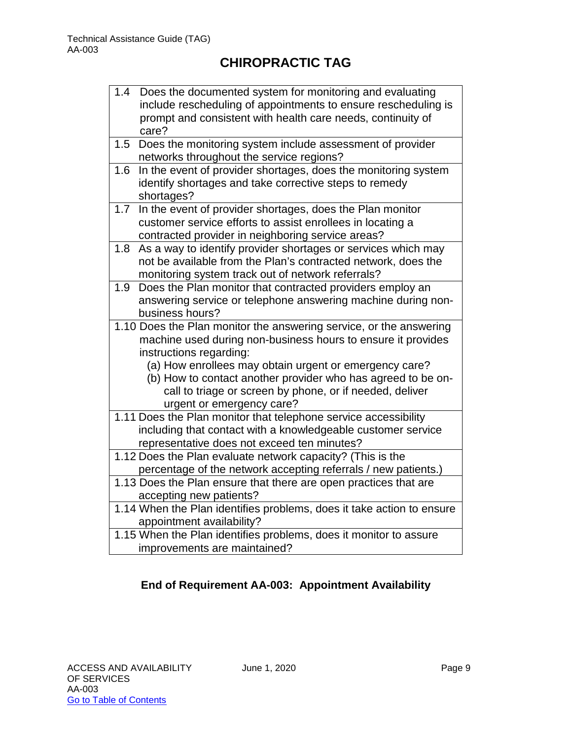| 1.4 | Does the documented system for monitoring and evaluating<br>include rescheduling of appointments to ensure rescheduling is<br>prompt and consistent with health care needs, continuity of                       |
|-----|-----------------------------------------------------------------------------------------------------------------------------------------------------------------------------------------------------------------|
|     | care?                                                                                                                                                                                                           |
| 1.5 | Does the monitoring system include assessment of provider<br>networks throughout the service regions?                                                                                                           |
| 1.6 | In the event of provider shortages, does the monitoring system<br>identify shortages and take corrective steps to remedy<br>shortages?                                                                          |
| 1.7 | In the event of provider shortages, does the Plan monitor<br>customer service efforts to assist enrollees in locating a<br>contracted provider in neighboring service areas?                                    |
| 1.8 | As a way to identify provider shortages or services which may<br>not be available from the Plan's contracted network, does the<br>monitoring system track out of network referrals?                             |
| 1.9 | Does the Plan monitor that contracted providers employ an<br>answering service or telephone answering machine during non-<br>business hours?                                                                    |
|     | 1.10 Does the Plan monitor the answering service, or the answering<br>machine used during non-business hours to ensure it provides<br>instructions regarding:                                                   |
|     | (a) How enrollees may obtain urgent or emergency care?<br>(b) How to contact another provider who has agreed to be on-<br>call to triage or screen by phone, or if needed, deliver<br>urgent or emergency care? |
|     | 1.11 Does the Plan monitor that telephone service accessibility<br>including that contact with a knowledgeable customer service<br>representative does not exceed ten minutes?                                  |
|     | 1.12 Does the Plan evaluate network capacity? (This is the                                                                                                                                                      |
|     | percentage of the network accepting referrals / new patients.)<br>1.13 Does the Plan ensure that there are open practices that are                                                                              |
|     | accepting new patients?                                                                                                                                                                                         |
|     | 1.14 When the Plan identifies problems, does it take action to ensure<br>appointment availability?                                                                                                              |
|     | 1.15 When the Plan identifies problems, does it monitor to assure<br>improvements are maintained?                                                                                                               |

## **End of Requirement AA-003: Appointment Availability**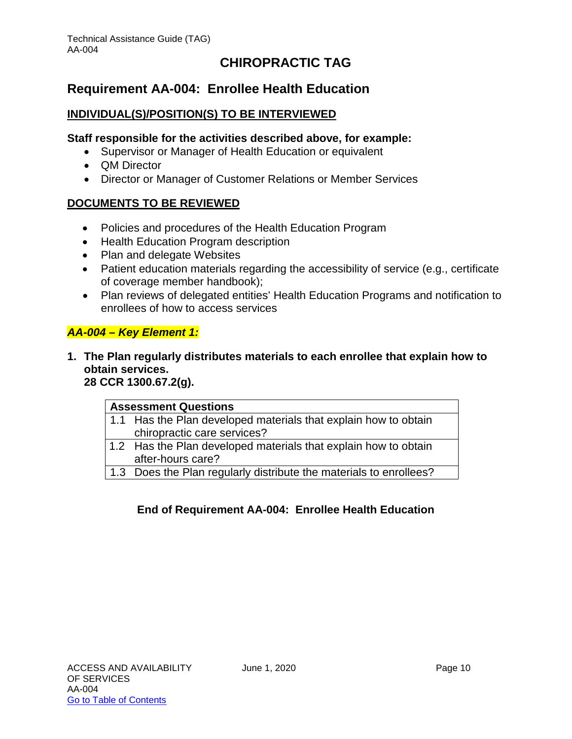## <span id="page-10-0"></span>**Requirement AA-004: Enrollee Health Education**

#### **INDIVIDUAL(S)/POSITION(S) TO BE INTERVIEWED**

#### **Staff responsible for the activities described above, for example:**

- Supervisor or Manager of Health Education or equivalent
- QM Director
- Director or Manager of Customer Relations or Member Services

#### **DOCUMENTS TO BE REVIEWED**

- Policies and procedures of the Health Education Program
- Health Education Program description
- Plan and delegate Websites
- Patient education materials regarding the accessibility of service (e.g., certificate of coverage member handbook);
- Plan reviews of delegated entities' Health Education Programs and notification to enrollees of how to access services

#### *AA-004 – Key Element 1:*

**1. The Plan regularly distributes materials to each enrollee that explain how to obtain services.**

**28 CCR 1300.67.2(g).**

| <b>Assessment Questions</b>                                        |  |
|--------------------------------------------------------------------|--|
| 1.1 Has the Plan developed materials that explain how to obtain    |  |
| chiropractic care services?                                        |  |
| 1.2 Has the Plan developed materials that explain how to obtain    |  |
| after-hours care?                                                  |  |
| 1.3 Does the Plan regularly distribute the materials to enrollees? |  |

#### **End of Requirement AA-004: Enrollee Health Education**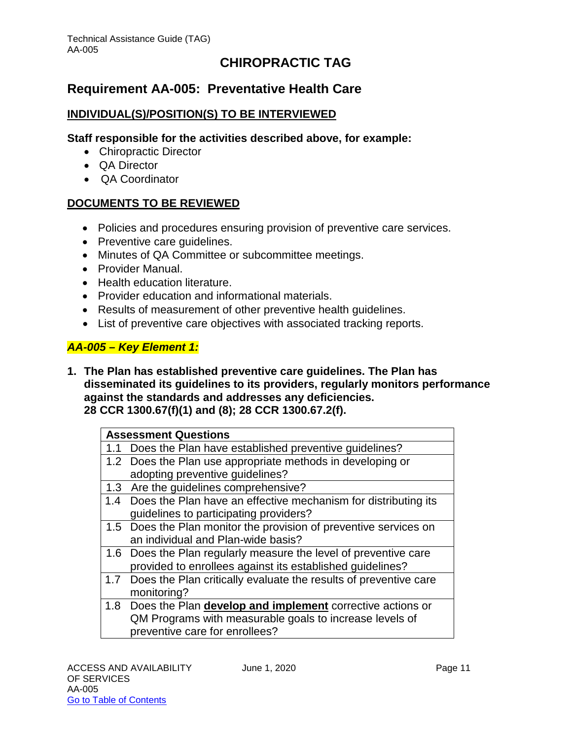## <span id="page-11-0"></span>**Requirement AA-005: Preventative Health Care**

#### **INDIVIDUAL(S)/POSITION(S) TO BE INTERVIEWED**

#### **Staff responsible for the activities described above, for example:**

- Chiropractic Director
- QA Director
- QA Coordinator

#### **DOCUMENTS TO BE REVIEWED**

- Policies and procedures ensuring provision of preventive care services.
- Preventive care guidelines.
- Minutes of QA Committee or subcommittee meetings.
- Provider Manual.
- Health education literature.
- Provider education and informational materials.
- Results of measurement of other preventive health guidelines.
- List of preventive care objectives with associated tracking reports.

#### *AA-005 – Key Element 1:*

**1. The Plan has established preventive care guidelines. The Plan has disseminated its guidelines to its providers, regularly monitors performance against the standards and addresses any deficiencies. 28 CCR 1300.67(f)(1) and (8); 28 CCR 1300.67.2(f).**

| <b>Assessment Questions</b>                                          |
|----------------------------------------------------------------------|
| 1.1 Does the Plan have established preventive guidelines?            |
| 1.2 Does the Plan use appropriate methods in developing or           |
| adopting preventive guidelines?                                      |
| 1.3 Are the guidelines comprehensive?                                |
| 1.4 Does the Plan have an effective mechanism for distributing its   |
| guidelines to participating providers?                               |
| 1.5 Does the Plan monitor the provision of preventive services on    |
| an individual and Plan-wide basis?                                   |
| 1.6 Does the Plan regularly measure the level of preventive care     |
| provided to enrollees against its established guidelines?            |
| 1.7 Does the Plan critically evaluate the results of preventive care |
| monitoring?                                                          |
| 1.8 Does the Plan develop and implement corrective actions or        |
| QM Programs with measurable goals to increase levels of              |
| preventive care for enrollees?                                       |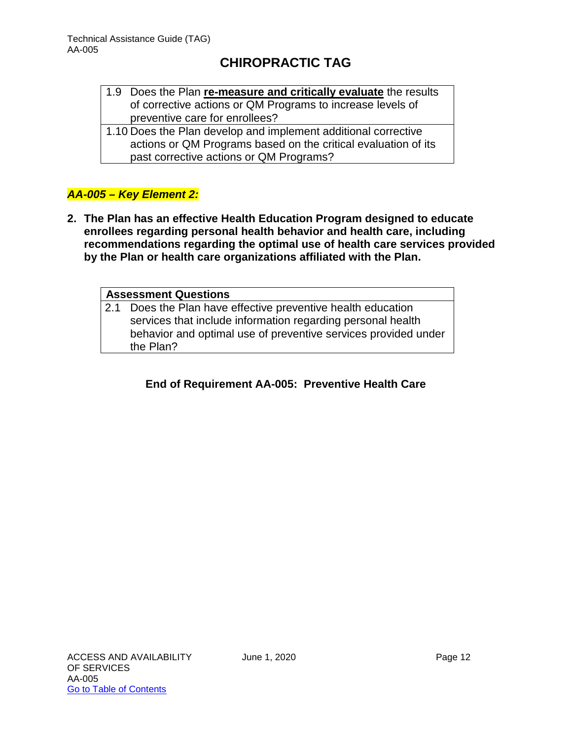- 1.9 Does the Plan **re-measure and critically evaluate** the results of corrective actions or QM Programs to increase levels of preventive care for enrollees?
- 1.10 Does the Plan develop and implement additional corrective actions or QM Programs based on the critical evaluation of its past corrective actions or QM Programs?

#### *AA-005 – Key Element 2:*

**2. The Plan has an effective Health Education Program designed to educate enrollees regarding personal health behavior and health care, including recommendations regarding the optimal use of health care services provided by the Plan or health care organizations affiliated with the Plan.**

#### **Assessment Questions** 2.1 Does the Plan have effective preventive health education services that include information regarding personal health behavior and optimal use of preventive services provided under the Plan?

#### **End of Requirement AA-005: Preventive Health Care**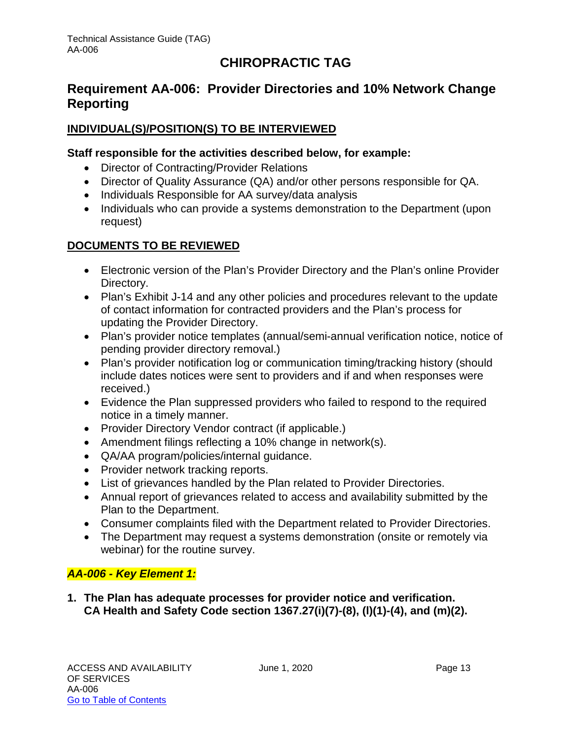## <span id="page-13-0"></span>**Requirement AA-006: Provider Directories and 10% Network Change Reporting**

#### **INDIVIDUAL(S)/POSITION(S) TO BE INTERVIEWED**

#### **Staff responsible for the activities described below, for example:**

- Director of Contracting/Provider Relations
- Director of Quality Assurance (QA) and/or other persons responsible for QA.
- Individuals Responsible for AA survey/data analysis
- Individuals who can provide a systems demonstration to the Department (upon request)

#### **DOCUMENTS TO BE REVIEWED**

- Electronic version of the Plan's Provider Directory and the Plan's online Provider Directory.
- Plan's Exhibit J-14 and any other policies and procedures relevant to the update of contact information for contracted providers and the Plan's process for updating the Provider Directory.
- Plan's provider notice templates (annual/semi-annual verification notice, notice of pending provider directory removal.)
- Plan's provider notification log or communication timing/tracking history (should include dates notices were sent to providers and if and when responses were received.)
- Evidence the Plan suppressed providers who failed to respond to the required notice in a timely manner.
- Provider Directory Vendor contract (if applicable.)
- Amendment filings reflecting a 10% change in network(s).
- QA/AA program/policies/internal guidance.
- Provider network tracking reports.
- List of grievances handled by the Plan related to Provider Directories.
- Annual report of grievances related to access and availability submitted by the Plan to the Department.
- Consumer complaints filed with the Department related to Provider Directories.
- The Department may request a systems demonstration (onsite or remotely via webinar) for the routine survey.

#### *AA-006 - Key Element 1:*

**1. The Plan has adequate processes for provider notice and verification. CA Health and Safety Code section 1367.27(i)(7)-(8), (l)(1)-(4), and (m)(2).**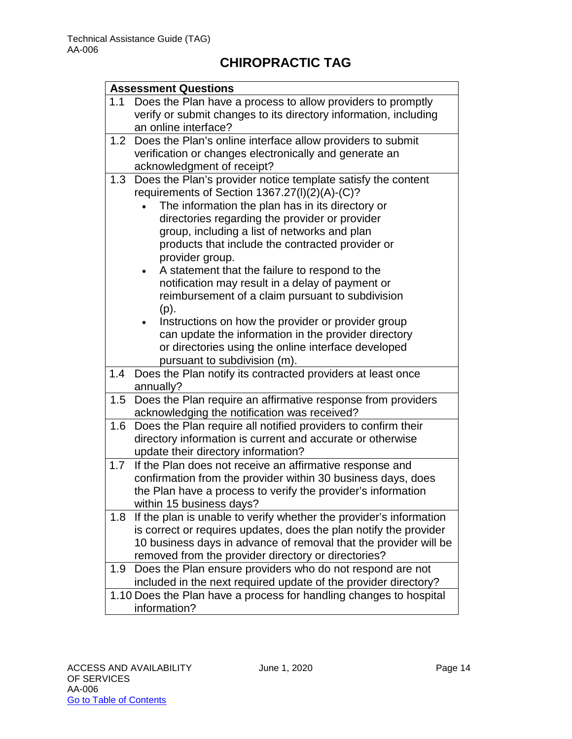|     | <b>Assessment Questions</b>                                        |
|-----|--------------------------------------------------------------------|
| 1.1 | Does the Plan have a process to allow providers to promptly        |
|     | verify or submit changes to its directory information, including   |
|     | an online interface?                                               |
| 1.2 | Does the Plan's online interface allow providers to submit         |
|     | verification or changes electronically and generate an             |
|     | acknowledgment of receipt?                                         |
| 1.3 | Does the Plan's provider notice template satisfy the content       |
|     | requirements of Section 1367.27(I)(2)(A)-(C)?                      |
|     | The information the plan has in its directory or                   |
|     | directories regarding the provider or provider                     |
|     | group, including a list of networks and plan                       |
|     | products that include the contracted provider or                   |
|     | provider group.                                                    |
|     | A statement that the failure to respond to the<br>$\bullet$        |
|     | notification may result in a delay of payment or                   |
|     | reimbursement of a claim pursuant to subdivision                   |
|     | $(p)$ .                                                            |
|     | Instructions on how the provider or provider group<br>$\bullet$    |
|     | can update the information in the provider directory               |
|     | or directories using the online interface developed                |
|     | pursuant to subdivision (m).                                       |
| 1.4 | Does the Plan notify its contracted providers at least once        |
|     | annually?                                                          |
| 1.5 | Does the Plan require an affirmative response from providers       |
|     | acknowledging the notification was received?                       |
| 1.6 | Does the Plan require all notified providers to confirm their      |
|     | directory information is current and accurate or otherwise         |
|     | update their directory information?                                |
| 1.7 | If the Plan does not receive an affirmative response and           |
|     | confirmation from the provider within 30 business days, does       |
|     | the Plan have a process to verify the provider's information       |
|     | within 15 business days?                                           |
| 1.8 | If the plan is unable to verify whether the provider's information |
|     | is correct or requires updates, does the plan notify the provider  |
|     | 10 business days in advance of removal that the provider will be   |
|     | removed from the provider directory or directories?                |
| 1.9 | Does the Plan ensure providers who do not respond are not          |
|     | included in the next required update of the provider directory?    |
|     | 1.10 Does the Plan have a process for handling changes to hospital |
|     | information?                                                       |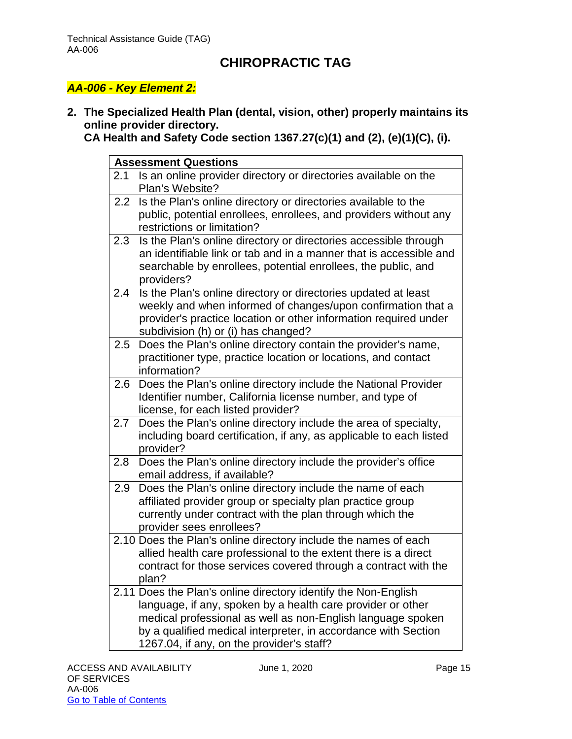#### *AA-006 - Key Element 2:*

**2. The Specialized Health Plan (dental, vision, other) properly maintains its online provider directory.** 

**CA Health and Safety Code section 1367.27(c)(1) and (2), (e)(1)(C), (i).**

|     | <b>Assessment Questions</b>                                                                                                                                                                                                                                                                                 |
|-----|-------------------------------------------------------------------------------------------------------------------------------------------------------------------------------------------------------------------------------------------------------------------------------------------------------------|
| 2.1 | Is an online provider directory or directories available on the<br>Plan's Website?                                                                                                                                                                                                                          |
| 2.2 | Is the Plan's online directory or directories available to the<br>public, potential enrollees, enrollees, and providers without any<br>restrictions or limitation?                                                                                                                                          |
| 2.3 | Is the Plan's online directory or directories accessible through<br>an identifiable link or tab and in a manner that is accessible and<br>searchable by enrollees, potential enrollees, the public, and<br>providers?                                                                                       |
| 2.4 | Is the Plan's online directory or directories updated at least<br>weekly and when informed of changes/upon confirmation that a<br>provider's practice location or other information required under<br>subdivision (h) or (i) has changed?                                                                   |
| 2.5 | Does the Plan's online directory contain the provider's name,<br>practitioner type, practice location or locations, and contact<br>information?                                                                                                                                                             |
| 2.6 | Does the Plan's online directory include the National Provider<br>Identifier number, California license number, and type of<br>license, for each listed provider?                                                                                                                                           |
| 2.7 | Does the Plan's online directory include the area of specialty,<br>including board certification, if any, as applicable to each listed<br>provider?                                                                                                                                                         |
| 2.8 | Does the Plan's online directory include the provider's office<br>email address, if available?                                                                                                                                                                                                              |
| 2.9 | Does the Plan's online directory include the name of each<br>affiliated provider group or specialty plan practice group<br>currently under contract with the plan through which the<br>provider sees enrollees?                                                                                             |
|     | 2.10 Does the Plan's online directory include the names of each<br>allied health care professional to the extent there is a direct<br>contract for those services covered through a contract with the<br>plan?                                                                                              |
|     | 2.11 Does the Plan's online directory identify the Non-English<br>language, if any, spoken by a health care provider or other<br>medical professional as well as non-English language spoken<br>by a qualified medical interpreter, in accordance with Section<br>1267.04, if any, on the provider's staff? |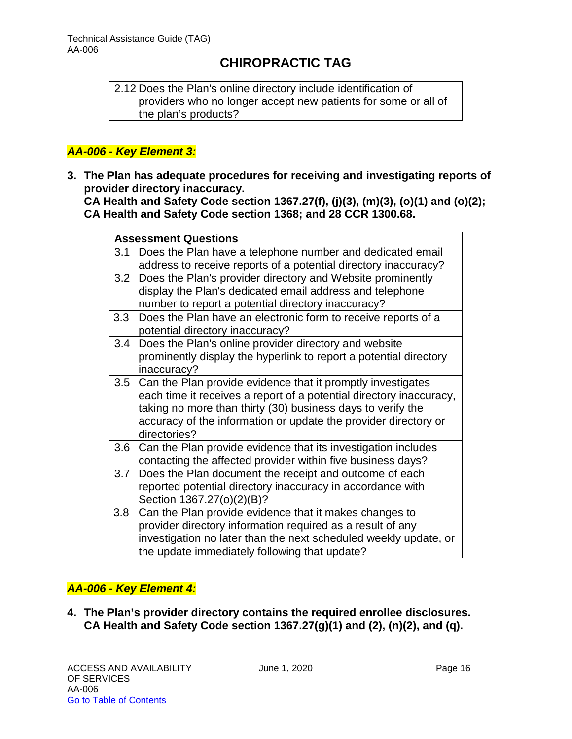2.12 Does the Plan's online directory include identification of providers who no longer accept new patients for some or all of the plan's products?

#### *AA-006 - Key Element 3:*

**3. The Plan has adequate procedures for receiving and investigating reports of provider directory inaccuracy.**

**CA Health and Safety Code section 1367.27(f), (j)(3), (m)(3), (o)(1) and (o)(2); CA Health and Safety Code section 1368; and 28 CCR 1300.68.**

|         | <b>Assessment Questions</b>                                         |  |
|---------|---------------------------------------------------------------------|--|
| 3.1     |                                                                     |  |
|         | Does the Plan have a telephone number and dedicated email           |  |
|         | address to receive reports of a potential directory inaccuracy?     |  |
| 3.2     | Does the Plan's provider directory and Website prominently          |  |
|         | display the Plan's dedicated email address and telephone            |  |
|         | number to report a potential directory inaccuracy?                  |  |
| 3.3     | Does the Plan have an electronic form to receive reports of a       |  |
|         | potential directory inaccuracy?                                     |  |
| 3.4     | Does the Plan's online provider directory and website               |  |
|         | prominently display the hyperlink to report a potential directory   |  |
|         | inaccuracy?                                                         |  |
| $3.5\,$ | Can the Plan provide evidence that it promptly investigates         |  |
|         | each time it receives a report of a potential directory inaccuracy, |  |
|         | taking no more than thirty (30) business days to verify the         |  |
|         | accuracy of the information or update the provider directory or     |  |
|         | directories?                                                        |  |
| 3.6     | Can the Plan provide evidence that its investigation includes       |  |
|         | contacting the affected provider within five business days?         |  |
| 3.7     | Does the Plan document the receipt and outcome of each              |  |
|         | reported potential directory inaccuracy in accordance with          |  |
|         | Section 1367.27(o)(2)(B)?                                           |  |
| 3.8     | Can the Plan provide evidence that it makes changes to              |  |
|         | provider directory information required as a result of any          |  |
|         | investigation no later than the next scheduled weekly update, or    |  |
|         | the update immediately following that update?                       |  |
|         |                                                                     |  |

#### *AA-006 - Key Element 4:*

**4. The Plan's provider directory contains the required enrollee disclosures. CA Health and Safety Code section 1367.27(g)(1) and (2), (n)(2), and (q).**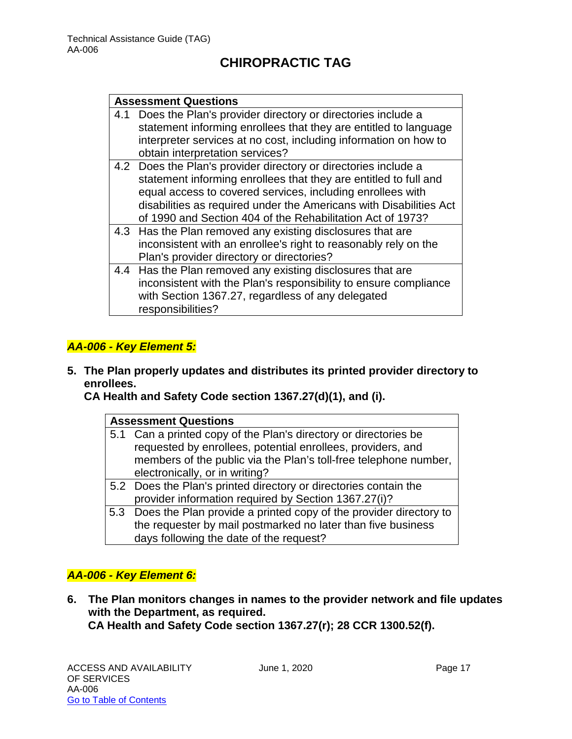#### **Assessment Questions**

| 4.1 Does the Plan's provider directory or directories include a  |
|------------------------------------------------------------------|
| statement informing enrollees that they are entitled to language |
| interpreter services at no cost, including information on how to |
| obtain interpretation services?                                  |

- 4.2 Does the Plan's provider directory or directories include a statement informing enrollees that they are entitled to full and equal access to covered services, including enrollees with disabilities as required under the Americans with Disabilities Act of 1990 and Section 404 of the Rehabilitation Act of 1973?
- 4.3 Has the Plan removed any existing disclosures that are inconsistent with an enrollee's right to reasonably rely on the Plan's provider directory or directories?
- 4.4 Has the Plan removed any existing disclosures that are inconsistent with the Plan's responsibility to ensure compliance with Section 1367.27, regardless of any delegated responsibilities?

#### *AA-006 - Key Element 5:*

**5. The Plan properly updates and distributes its printed provider directory to enrollees.** 

**CA Health and Safety Code section 1367.27(d)(1), and (i).** 

| <b>Assessment Questions</b> |                                                                       |  |
|-----------------------------|-----------------------------------------------------------------------|--|
|                             | 5.1 Can a printed copy of the Plan's directory or directories be      |  |
|                             | requested by enrollees, potential enrollees, providers, and           |  |
|                             | members of the public via the Plan's toll-free telephone number,      |  |
|                             | electronically, or in writing?                                        |  |
|                             | 5.2 Does the Plan's printed directory or directories contain the      |  |
|                             | provider information required by Section 1367.27(i)?                  |  |
|                             | 5.3 Does the Plan provide a printed copy of the provider directory to |  |
|                             | the requester by mail postmarked no later than five business          |  |

days following the date of the request?

#### *AA-006 - Key Element 6:*

**6. The Plan monitors changes in names to the provider network and file updates with the Department, as required. CA Health and Safety Code section 1367.27(r); 28 CCR 1300.52(f).**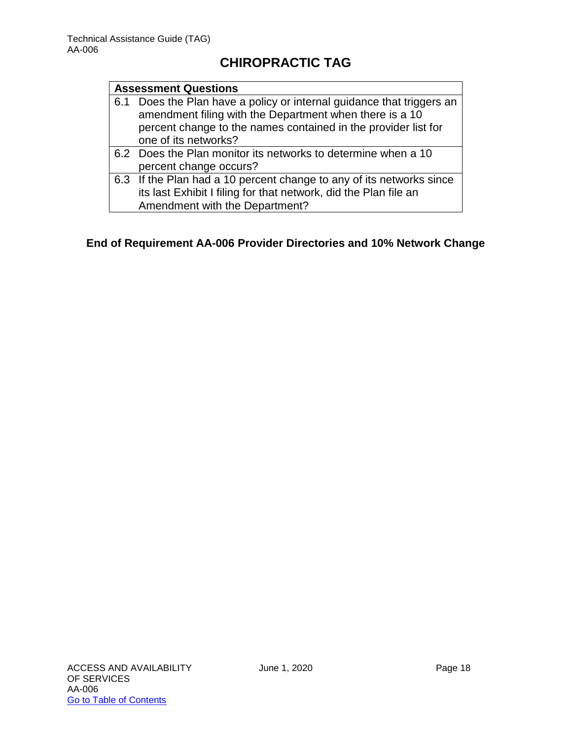#### **Assessment Questions**

|     | . The set of the set of the set of the set of the set of the set of the set of the set of the set of the set of the set of the set of the set of the set of the set of the set of the set of the set of the set of the set of |
|-----|-------------------------------------------------------------------------------------------------------------------------------------------------------------------------------------------------------------------------------|
|     | one of its networks?                                                                                                                                                                                                          |
|     | percent change to the names contained in the provider list for                                                                                                                                                                |
|     | amendment filing with the Department when there is a 10                                                                                                                                                                       |
| 6.1 | Does the Plan have a policy or internal guidance that triggers an                                                                                                                                                             |

- 6.2 Does the Plan monitor its networks to determine when a 10 percent change occurs?
- 6.3 If the Plan had a 10 percent change to any of its networks since its last Exhibit I filing for that network, did the Plan file an Amendment with the Department?

#### **End of Requirement AA-006 Provider Directories and 10% Network Change**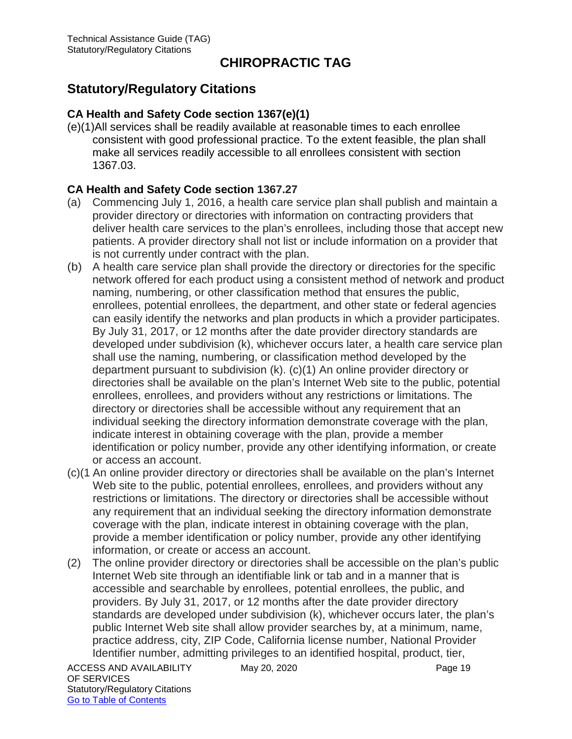## <span id="page-19-0"></span>**Statutory/Regulatory Citations**

#### **CA Health and Safety Code section 1367(e)(1)**

(e)(1)All services shall be readily available at reasonable times to each enrollee consistent with good professional practice. To the extent feasible, the plan shall make all services readily accessible to all enrollees consistent with section 1367.03.

#### **CA Health and Safety Code section 1367.27**

- (a) Commencing July 1, 2016, a health care service plan shall publish and maintain a provider directory or directories with information on contracting providers that deliver health care services to the plan's enrollees, including those that accept new patients. A provider directory shall not list or include information on a provider that is not currently under contract with the plan.
- (b) A health care service plan shall provide the directory or directories for the specific network offered for each product using a consistent method of network and product naming, numbering, or other classification method that ensures the public, enrollees, potential enrollees, the department, and other state or federal agencies can easily identify the networks and plan products in which a provider participates. By July 31, 2017, or 12 months after the date provider directory standards are developed under subdivision (k), whichever occurs later, a health care service plan shall use the naming, numbering, or classification method developed by the department pursuant to subdivision (k). (c)(1) An online provider directory or directories shall be available on the plan's Internet Web site to the public, potential enrollees, enrollees, and providers without any restrictions or limitations. The directory or directories shall be accessible without any requirement that an individual seeking the directory information demonstrate coverage with the plan, indicate interest in obtaining coverage with the plan, provide a member identification or policy number, provide any other identifying information, or create or access an account.
- (c)(1 An online provider directory or directories shall be available on the plan's Internet Web site to the public, potential enrollees, enrollees, and providers without any restrictions or limitations. The directory or directories shall be accessible without any requirement that an individual seeking the directory information demonstrate coverage with the plan, indicate interest in obtaining coverage with the plan, provide a member identification or policy number, provide any other identifying information, or create or access an account.
- (2) The online provider directory or directories shall be accessible on the plan's public Internet Web site through an identifiable link or tab and in a manner that is accessible and searchable by enrollees, potential enrollees, the public, and providers. By July 31, 2017, or 12 months after the date provider directory standards are developed under subdivision (k), whichever occurs later, the plan's public Internet Web site shall allow provider searches by, at a minimum, name, practice address, city, ZIP Code, California license number, National Provider Identifier number, admitting privileges to an identified hospital, product, tier,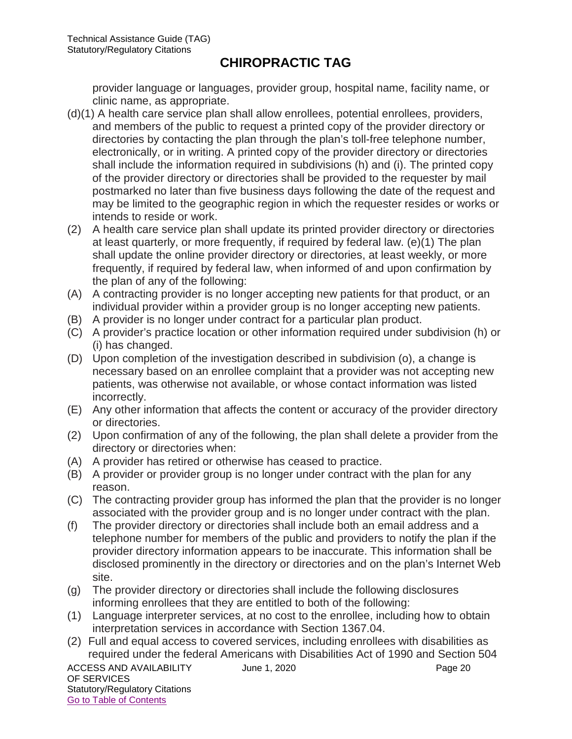provider language or languages, provider group, hospital name, facility name, or clinic name, as appropriate.

- (d)(1) A health care service plan shall allow enrollees, potential enrollees, providers, and members of the public to request a printed copy of the provider directory or directories by contacting the plan through the plan's toll-free telephone number, electronically, or in writing. A printed copy of the provider directory or directories shall include the information required in subdivisions (h) and (i). The printed copy of the provider directory or directories shall be provided to the requester by mail postmarked no later than five business days following the date of the request and may be limited to the geographic region in which the requester resides or works or intends to reside or work.
- (2) A health care service plan shall update its printed provider directory or directories at least quarterly, or more frequently, if required by federal law. (e)(1) The plan shall update the online provider directory or directories, at least weekly, or more frequently, if required by federal law, when informed of and upon confirmation by the plan of any of the following:
- (A) A contracting provider is no longer accepting new patients for that product, or an individual provider within a provider group is no longer accepting new patients.
- (B) A provider is no longer under contract for a particular plan product.
- (C) A provider's practice location or other information required under subdivision (h) or (i) has changed.
- (D) Upon completion of the investigation described in subdivision (o), a change is necessary based on an enrollee complaint that a provider was not accepting new patients, was otherwise not available, or whose contact information was listed incorrectly.
- (E) Any other information that affects the content or accuracy of the provider directory or directories.
- (2) Upon confirmation of any of the following, the plan shall delete a provider from the directory or directories when:
- (A) A provider has retired or otherwise has ceased to practice.
- (B) A provider or provider group is no longer under contract with the plan for any reason.
- (C) The contracting provider group has informed the plan that the provider is no longer associated with the provider group and is no longer under contract with the plan.
- (f) The provider directory or directories shall include both an email address and a telephone number for members of the public and providers to notify the plan if the provider directory information appears to be inaccurate. This information shall be disclosed prominently in the directory or directories and on the plan's Internet Web site.
- (g) The provider directory or directories shall include the following disclosures informing enrollees that they are entitled to both of the following:
- (1) Language interpreter services, at no cost to the enrollee, including how to obtain interpretation services in accordance with Section 1367.04.
- (2) Full and equal access to covered services, including enrollees with disabilities as required under the federal Americans with Disabilities Act of 1990 and Section 504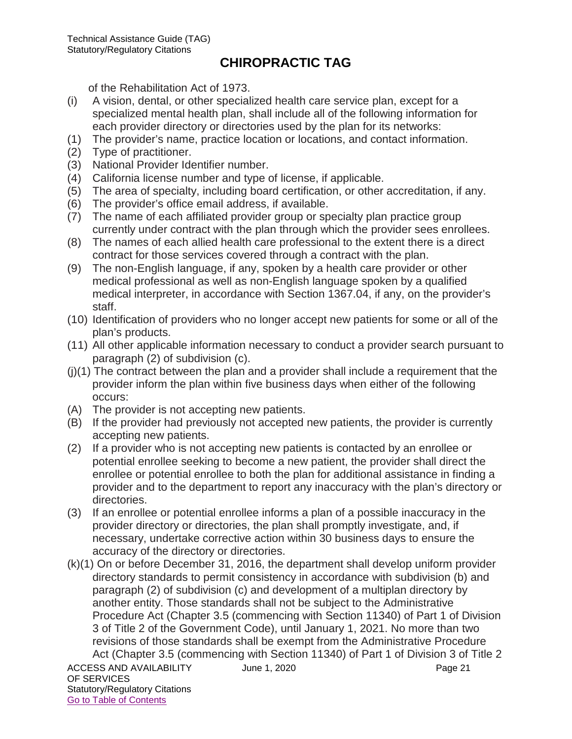of the Rehabilitation Act of 1973.

- (i) A vision, dental, or other specialized health care service plan, except for a specialized mental health plan, shall include all of the following information for each provider directory or directories used by the plan for its networks:
- (1) The provider's name, practice location or locations, and contact information.
- (2) Type of practitioner.
- (3) National Provider Identifier number.
- (4) California license number and type of license, if applicable.
- (5) The area of specialty, including board certification, or other accreditation, if any.
- (6) The provider's office email address, if available.
- (7) The name of each affiliated provider group or specialty plan practice group currently under contract with the plan through which the provider sees enrollees.
- (8) The names of each allied health care professional to the extent there is a direct contract for those services covered through a contract with the plan.
- (9) The non-English language, if any, spoken by a health care provider or other medical professional as well as non-English language spoken by a qualified medical interpreter, in accordance with Section 1367.04, if any, on the provider's staff.
- (10) Identification of providers who no longer accept new patients for some or all of the plan's products.
- (11) All other applicable information necessary to conduct a provider search pursuant to paragraph (2) of subdivision (c).
- $(i)(1)$  The contract between the plan and a provider shall include a requirement that the provider inform the plan within five business days when either of the following occurs:
- (A) The provider is not accepting new patients.
- (B) If the provider had previously not accepted new patients, the provider is currently accepting new patients.
- (2) If a provider who is not accepting new patients is contacted by an enrollee or potential enrollee seeking to become a new patient, the provider shall direct the enrollee or potential enrollee to both the plan for additional assistance in finding a provider and to the department to report any inaccuracy with the plan's directory or directories.
- (3) If an enrollee or potential enrollee informs a plan of a possible inaccuracy in the provider directory or directories, the plan shall promptly investigate, and, if necessary, undertake corrective action within 30 business days to ensure the accuracy of the directory or directories.
- ACCESS AND AVAILABILITY June 1, 2020 OF SERVICES (k)(1) On or before December 31, 2016, the department shall develop uniform provider directory standards to permit consistency in accordance with subdivision (b) and paragraph (2) of subdivision (c) and development of a multiplan directory by another entity. Those standards shall not be subject to the Administrative Procedure Act (Chapter 3.5 (commencing with Section 11340) of Part 1 of Division 3 of Title 2 of the Government Code), until January 1, 2021. No more than two revisions of those standards shall be exempt from the Administrative Procedure Act (Chapter 3.5 (commencing with Section 11340) of Part 1 of Division 3 of Title 2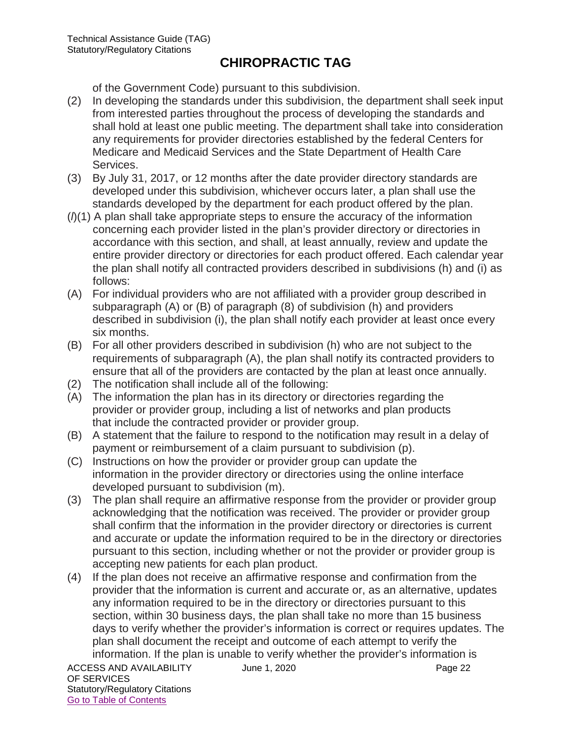of the Government Code) pursuant to this subdivision.

- (2) In developing the standards under this subdivision, the department shall seek input from interested parties throughout the process of developing the standards and shall hold at least one public meeting. The department shall take into consideration any requirements for provider directories established by the federal Centers for Medicare and Medicaid Services and the State Department of Health Care Services.
- (3) By July 31, 2017, or 12 months after the date provider directory standards are developed under this subdivision, whichever occurs later, a plan shall use the standards developed by the department for each product offered by the plan.
- (*l*)(1) A plan shall take appropriate steps to ensure the accuracy of the information concerning each provider listed in the plan's provider directory or directories in accordance with this section, and shall, at least annually, review and update the entire provider directory or directories for each product offered. Each calendar year the plan shall notify all contracted providers described in subdivisions (h) and (i) as follows:
- (A) For individual providers who are not affiliated with a provider group described in subparagraph (A) or (B) of paragraph (8) of subdivision (h) and providers described in subdivision (i), the plan shall notify each provider at least once every six months.
- (B) For all other providers described in subdivision (h) who are not subject to the requirements of subparagraph (A), the plan shall notify its contracted providers to ensure that all of the providers are contacted by the plan at least once annually.
- (2) The notification shall include all of the following:
- (A) The information the plan has in its directory or directories regarding the provider or provider group, including a list of networks and plan products that include the contracted provider or provider group.
- (B) A statement that the failure to respond to the notification may result in a delay of payment or reimbursement of a claim pursuant to subdivision (p).
- (C) Instructions on how the provider or provider group can update the information in the provider directory or directories using the online interface developed pursuant to subdivision (m).
- (3) The plan shall require an affirmative response from the provider or provider group acknowledging that the notification was received. The provider or provider group shall confirm that the information in the provider directory or directories is current and accurate or update the information required to be in the directory or directories pursuant to this section, including whether or not the provider or provider group is accepting new patients for each plan product.
- (4) If the plan does not receive an affirmative response and confirmation from the provider that the information is current and accurate or, as an alternative, updates any information required to be in the directory or directories pursuant to this section, within 30 business days, the plan shall take no more than 15 business days to verify whether the provider's information is correct or requires updates. The plan shall document the receipt and outcome of each attempt to verify the information. If the plan is unable to verify whether the provider's information is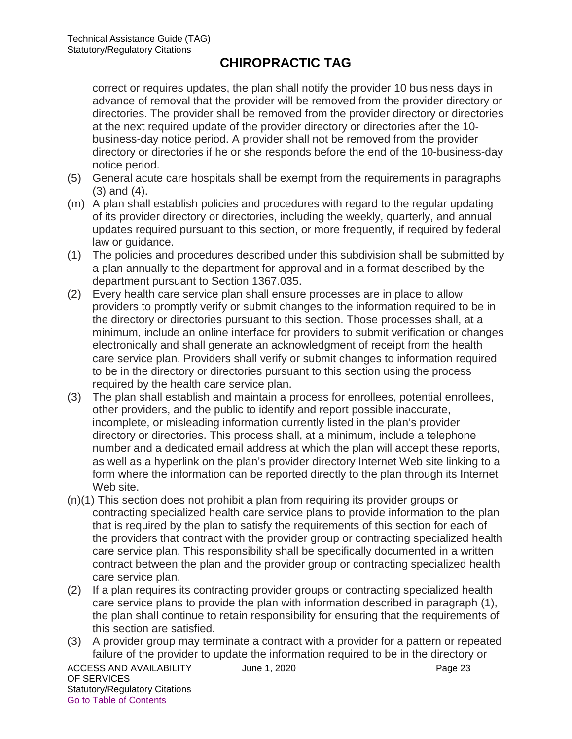correct or requires updates, the plan shall notify the provider 10 business days in advance of removal that the provider will be removed from the provider directory or directories. The provider shall be removed from the provider directory or directories at the next required update of the provider directory or directories after the 10 business-day notice period. A provider shall not be removed from the provider directory or directories if he or she responds before the end of the 10-business-day notice period.

- (5) General acute care hospitals shall be exempt from the requirements in paragraphs (3) and (4).
- (m) A plan shall establish policies and procedures with regard to the regular updating of its provider directory or directories, including the weekly, quarterly, and annual updates required pursuant to this section, or more frequently, if required by federal law or guidance.
- (1) The policies and procedures described under this subdivision shall be submitted by a plan annually to the department for approval and in a format described by the department pursuant to Section 1367.035.
- (2) Every health care service plan shall ensure processes are in place to allow providers to promptly verify or submit changes to the information required to be in the directory or directories pursuant to this section. Those processes shall, at a minimum, include an online interface for providers to submit verification or changes electronically and shall generate an acknowledgment of receipt from the health care service plan. Providers shall verify or submit changes to information required to be in the directory or directories pursuant to this section using the process required by the health care service plan.
- (3) The plan shall establish and maintain a process for enrollees, potential enrollees, other providers, and the public to identify and report possible inaccurate, incomplete, or misleading information currently listed in the plan's provider directory or directories. This process shall, at a minimum, include a telephone number and a dedicated email address at which the plan will accept these reports, as well as a hyperlink on the plan's provider directory Internet Web site linking to a form where the information can be reported directly to the plan through its Internet Web site.
- (n)(1) This section does not prohibit a plan from requiring its provider groups or contracting specialized health care service plans to provide information to the plan that is required by the plan to satisfy the requirements of this section for each of the providers that contract with the provider group or contracting specialized health care service plan. This responsibility shall be specifically documented in a written contract between the plan and the provider group or contracting specialized health care service plan.
- (2) If a plan requires its contracting provider groups or contracting specialized health care service plans to provide the plan with information described in paragraph (1), the plan shall continue to retain responsibility for ensuring that the requirements of this section are satisfied.
- (3) A provider group may terminate a contract with a provider for a pattern or repeated failure of the provider to update the information required to be in the directory or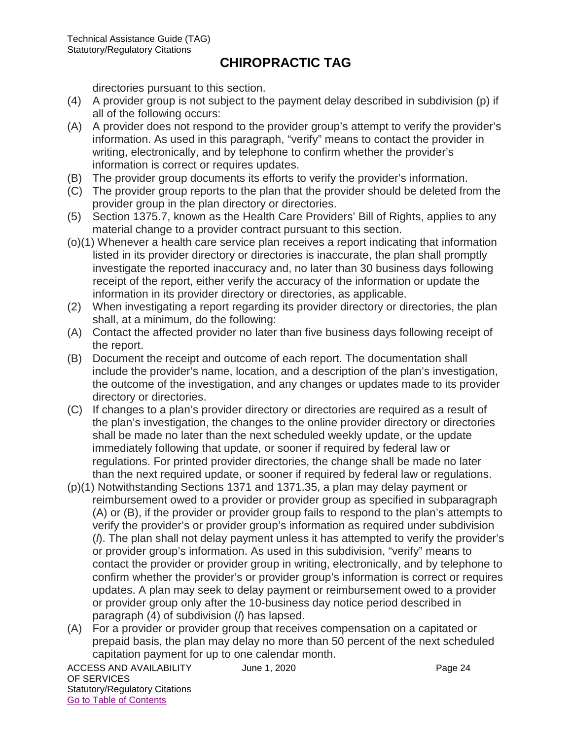directories pursuant to this section.

- (4) A provider group is not subject to the payment delay described in subdivision (p) if all of the following occurs:
- (A) A provider does not respond to the provider group's attempt to verify the provider's information. As used in this paragraph, "verify" means to contact the provider in writing, electronically, and by telephone to confirm whether the provider's information is correct or requires updates.
- (B) The provider group documents its efforts to verify the provider's information.
- (C) The provider group reports to the plan that the provider should be deleted from the provider group in the plan directory or directories.
- (5) Section 1375.7, known as the Health Care Providers' Bill of Rights, applies to any material change to a provider contract pursuant to this section.
- (o)(1) Whenever a health care service plan receives a report indicating that information listed in its provider directory or directories is inaccurate, the plan shall promptly investigate the reported inaccuracy and, no later than 30 business days following receipt of the report, either verify the accuracy of the information or update the information in its provider directory or directories, as applicable.
- (2) When investigating a report regarding its provider directory or directories, the plan shall, at a minimum, do the following:
- (A) Contact the affected provider no later than five business days following receipt of the report.
- (B) Document the receipt and outcome of each report. The documentation shall include the provider's name, location, and a description of the plan's investigation, the outcome of the investigation, and any changes or updates made to its provider directory or directories.
- (C) If changes to a plan's provider directory or directories are required as a result of the plan's investigation, the changes to the online provider directory or directories shall be made no later than the next scheduled weekly update, or the update immediately following that update, or sooner if required by federal law or regulations. For printed provider directories, the change shall be made no later than the next required update, or sooner if required by federal law or regulations.
- (p)(1) Notwithstanding Sections 1371 and 1371.35, a plan may delay payment or reimbursement owed to a provider or provider group as specified in subparagraph (A) or (B), if the provider or provider group fails to respond to the plan's attempts to verify the provider's or provider group's information as required under subdivision (*l*). The plan shall not delay payment unless it has attempted to verify the provider's or provider group's information. As used in this subdivision, "verify" means to contact the provider or provider group in writing, electronically, and by telephone to confirm whether the provider's or provider group's information is correct or requires updates. A plan may seek to delay payment or reimbursement owed to a provider or provider group only after the 10-business day notice period described in paragraph (4) of subdivision (*l*) has lapsed.
- (A) For a provider or provider group that receives compensation on a capitated or prepaid basis, the plan may delay no more than 50 percent of the next scheduled capitation payment for up to one calendar month.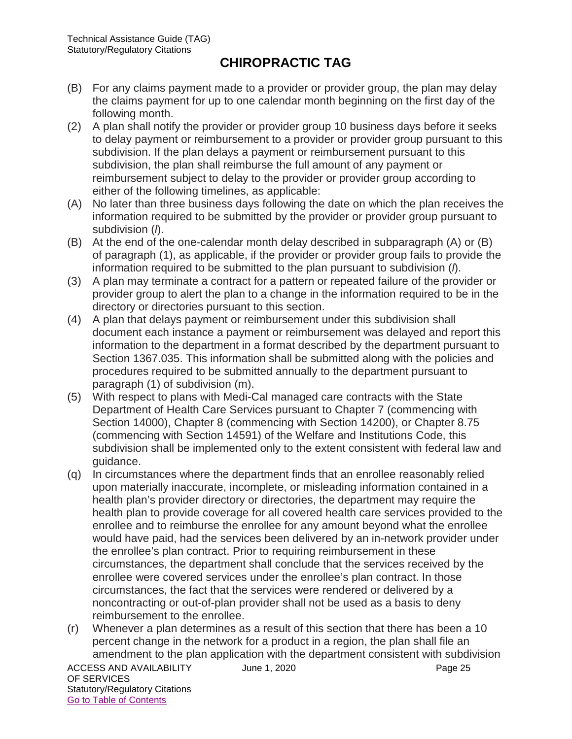- (B) For any claims payment made to a provider or provider group, the plan may delay the claims payment for up to one calendar month beginning on the first day of the following month.
- (2) A plan shall notify the provider or provider group 10 business days before it seeks to delay payment or reimbursement to a provider or provider group pursuant to this subdivision. If the plan delays a payment or reimbursement pursuant to this subdivision, the plan shall reimburse the full amount of any payment or reimbursement subject to delay to the provider or provider group according to either of the following timelines, as applicable:
- (A) No later than three business days following the date on which the plan receives the information required to be submitted by the provider or provider group pursuant to subdivision (*l*).
- (B) At the end of the one-calendar month delay described in subparagraph (A) or (B) of paragraph (1), as applicable, if the provider or provider group fails to provide the information required to be submitted to the plan pursuant to subdivision (*l*).
- (3) A plan may terminate a contract for a pattern or repeated failure of the provider or provider group to alert the plan to a change in the information required to be in the directory or directories pursuant to this section.
- (4) A plan that delays payment or reimbursement under this subdivision shall document each instance a payment or reimbursement was delayed and report this information to the department in a format described by the department pursuant to Section 1367.035. This information shall be submitted along with the policies and procedures required to be submitted annually to the department pursuant to paragraph (1) of subdivision (m).
- (5) With respect to plans with Medi-Cal managed care contracts with the State Department of Health Care Services pursuant to Chapter 7 (commencing with Section 14000), Chapter 8 (commencing with Section 14200), or Chapter 8.75 (commencing with Section 14591) of the Welfare and Institutions Code, this subdivision shall be implemented only to the extent consistent with federal law and guidance.
- (q) In circumstances where the department finds that an enrollee reasonably relied upon materially inaccurate, incomplete, or misleading information contained in a health plan's provider directory or directories, the department may require the health plan to provide coverage for all covered health care services provided to the enrollee and to reimburse the enrollee for any amount beyond what the enrollee would have paid, had the services been delivered by an in-network provider under the enrollee's plan contract. Prior to requiring reimbursement in these circumstances, the department shall conclude that the services received by the enrollee were covered services under the enrollee's plan contract. In those circumstances, the fact that the services were rendered or delivered by a noncontracting or out-of-plan provider shall not be used as a basis to deny reimbursement to the enrollee.
- (r) Whenever a plan determines as a result of this section that there has been a 10 percent change in the network for a product in a region, the plan shall file an amendment to the plan application with the department consistent with subdivision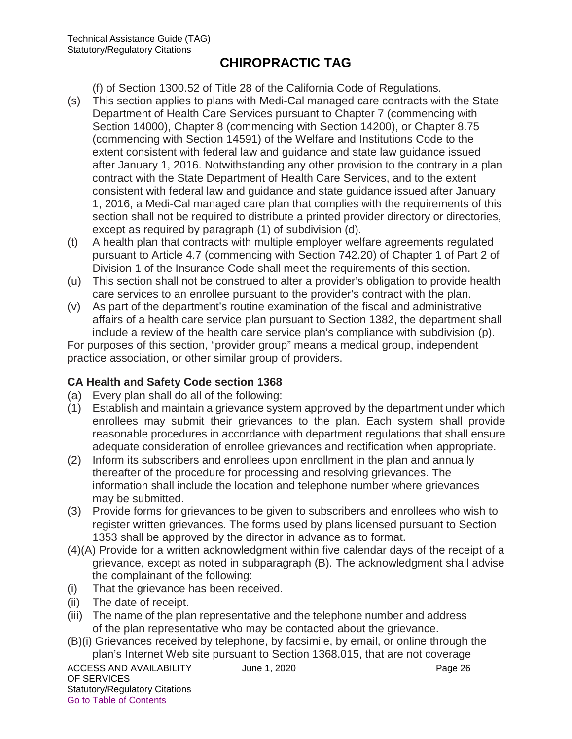(f) of Section 1300.52 of Title 28 of the California Code of Regulations.

- (s) This section applies to plans with Medi-Cal managed care contracts with the State Department of Health Care Services pursuant to Chapter 7 (commencing with Section 14000), Chapter 8 (commencing with Section 14200), or Chapter 8.75 (commencing with Section 14591) of the Welfare and Institutions Code to the extent consistent with federal law and guidance and state law guidance issued after January 1, 2016. Notwithstanding any other provision to the contrary in a plan contract with the State Department of Health Care Services, and to the extent consistent with federal law and guidance and state guidance issued after January 1, 2016, a Medi-Cal managed care plan that complies with the requirements of this section shall not be required to distribute a printed provider directory or directories, except as required by paragraph (1) of subdivision (d).
- (t) A health plan that contracts with multiple employer welfare agreements regulated pursuant to Article 4.7 (commencing with Section 742.20) of Chapter 1 of Part 2 of Division 1 of the Insurance Code shall meet the requirements of this section.
- (u) This section shall not be construed to alter a provider's obligation to provide health care services to an enrollee pursuant to the provider's contract with the plan.
- (v) As part of the department's routine examination of the fiscal and administrative affairs of a health care service plan pursuant to Section 1382, the department shall include a review of the health care service plan's compliance with subdivision (p). For purposes of this section, "provider group" means a medical group, independent

practice association, or other similar group of providers.

#### **CA Health and Safety Code section 1368**

- (a) Every plan shall do all of the following:
- (1) Establish and maintain a grievance system approved by the department under which enrollees may submit their grievances to the plan. Each system shall provide reasonable procedures in accordance with department regulations that shall ensure adequate consideration of enrollee grievances and rectification when appropriate.
- (2) Inform its subscribers and enrollees upon enrollment in the plan and annually thereafter of the procedure for processing and resolving grievances. The information shall include the location and telephone number where grievances may be submitted.
- (3) Provide forms for grievances to be given to subscribers and enrollees who wish to register written grievances. The forms used by plans licensed pursuant to Section 1353 shall be approved by the director in advance as to format.
- (4)(A) Provide for a written acknowledgment within five calendar days of the receipt of a grievance, except as noted in subparagraph (B). The acknowledgment shall advise the complainant of the following:
- (i) That the grievance has been received.
- (ii) The date of receipt.
- (iii) The name of the plan representative and the telephone number and address of the plan representative who may be contacted about the grievance.
- (B)(i) Grievances received by telephone, by facsimile, by email, or online through the plan's Internet Web site pursuant to Section 1368.015, that are not coverage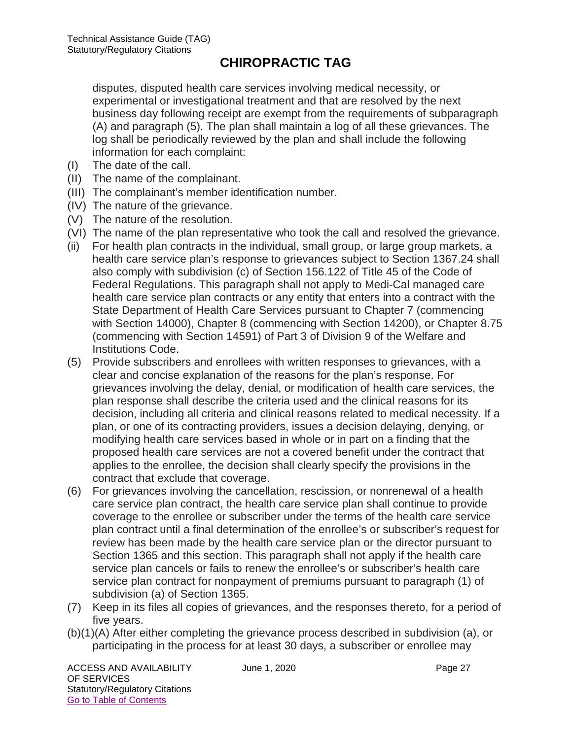disputes, disputed health care services involving medical necessity, or experimental or investigational treatment and that are resolved by the next business day following receipt are exempt from the requirements of subparagraph (A) and paragraph (5). The plan shall maintain a log of all these grievances. The log shall be periodically reviewed by the plan and shall include the following information for each complaint:

- (I) The date of the call.
- (II) The name of the complainant.
- (III) The complainant's member identification number.
- (IV) The nature of the grievance.
- (V) The nature of the resolution.
- (VI) The name of the plan representative who took the call and resolved the grievance.
- (ii) For health plan contracts in the individual, small group, or large group markets, a health care service plan's response to grievances subject to Section 1367.24 shall also comply with subdivision (c) of Section 156.122 of Title 45 of the Code of Federal Regulations. This paragraph shall not apply to Medi-Cal managed care health care service plan contracts or any entity that enters into a contract with the State Department of Health Care Services pursuant to Chapter 7 (commencing with Section 14000), Chapter 8 (commencing with Section 14200), or Chapter 8.75 (commencing with Section 14591) of Part 3 of Division 9 of the Welfare and Institutions Code.
- (5) Provide subscribers and enrollees with written responses to grievances, with a clear and concise explanation of the reasons for the plan's response. For grievances involving the delay, denial, or modification of health care services, the plan response shall describe the criteria used and the clinical reasons for its decision, including all criteria and clinical reasons related to medical necessity. If a plan, or one of its contracting providers, issues a decision delaying, denying, or modifying health care services based in whole or in part on a finding that the proposed health care services are not a covered benefit under the contract that applies to the enrollee, the decision shall clearly specify the provisions in the contract that exclude that coverage.
- (6) For grievances involving the cancellation, rescission, or nonrenewal of a health care service plan contract, the health care service plan shall continue to provide coverage to the enrollee or subscriber under the terms of the health care service plan contract until a final determination of the enrollee's or subscriber's request for review has been made by the health care service plan or the director pursuant to Section 1365 and this section. This paragraph shall not apply if the health care service plan cancels or fails to renew the enrollee's or subscriber's health care service plan contract for nonpayment of premiums pursuant to paragraph (1) of subdivision (a) of Section 1365.
- (7) Keep in its files all copies of grievances, and the responses thereto, for a period of five years.
- (b)(1)(A) After either completing the grievance process described in subdivision (a), or participating in the process for at least 30 days, a subscriber or enrollee may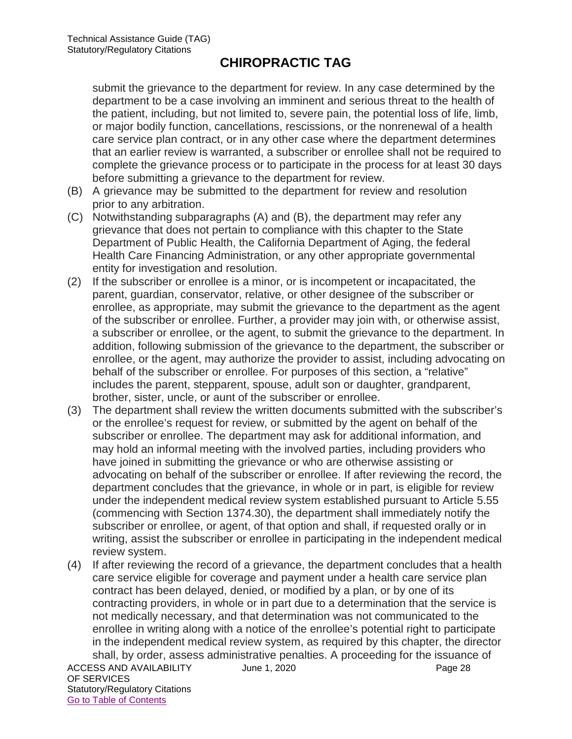submit the grievance to the department for review. In any case determined by the department to be a case involving an imminent and serious threat to the health of the patient, including, but not limited to, severe pain, the potential loss of life, limb, or major bodily function, cancellations, rescissions, or the nonrenewal of a health care service plan contract, or in any other case where the department determines that an earlier review is warranted, a subscriber or enrollee shall not be required to complete the grievance process or to participate in the process for at least 30 days before submitting a grievance to the department for review.

- (B) A grievance may be submitted to the department for review and resolution prior to any arbitration.
- (C) Notwithstanding subparagraphs (A) and (B), the department may refer any grievance that does not pertain to compliance with this chapter to the State Department of Public Health, the California Department of Aging, the federal Health Care Financing Administration, or any other appropriate governmental entity for investigation and resolution.
- (2) If the subscriber or enrollee is a minor, or is incompetent or incapacitated, the parent, guardian, conservator, relative, or other designee of the subscriber or enrollee, as appropriate, may submit the grievance to the department as the agent of the subscriber or enrollee. Further, a provider may join with, or otherwise assist, a subscriber or enrollee, or the agent, to submit the grievance to the department. In addition, following submission of the grievance to the department, the subscriber or enrollee, or the agent, may authorize the provider to assist, including advocating on behalf of the subscriber or enrollee. For purposes of this section, a "relative" includes the parent, stepparent, spouse, adult son or daughter, grandparent, brother, sister, uncle, or aunt of the subscriber or enrollee.
- (3) The department shall review the written documents submitted with the subscriber's or the enrollee's request for review, or submitted by the agent on behalf of the subscriber or enrollee. The department may ask for additional information, and may hold an informal meeting with the involved parties, including providers who have joined in submitting the grievance or who are otherwise assisting or advocating on behalf of the subscriber or enrollee. If after reviewing the record, the department concludes that the grievance, in whole or in part, is eligible for review under the independent medical review system established pursuant to Article 5.55 (commencing with Section 1374.30), the department shall immediately notify the subscriber or enrollee, or agent, of that option and shall, if requested orally or in writing, assist the subscriber or enrollee in participating in the independent medical review system.
- ACCESS AND AVAILABILITY June 1, 2020 (4) If after reviewing the record of a grievance, the department concludes that a health care service eligible for coverage and payment under a health care service plan contract has been delayed, denied, or modified by a plan, or by one of its contracting providers, in whole or in part due to a determination that the service is not medically necessary, and that determination was not communicated to the enrollee in writing along with a notice of the enrollee's potential right to participate in the independent medical review system, as required by this chapter, the director shall, by order, assess administrative penalties. A proceeding for the issuance of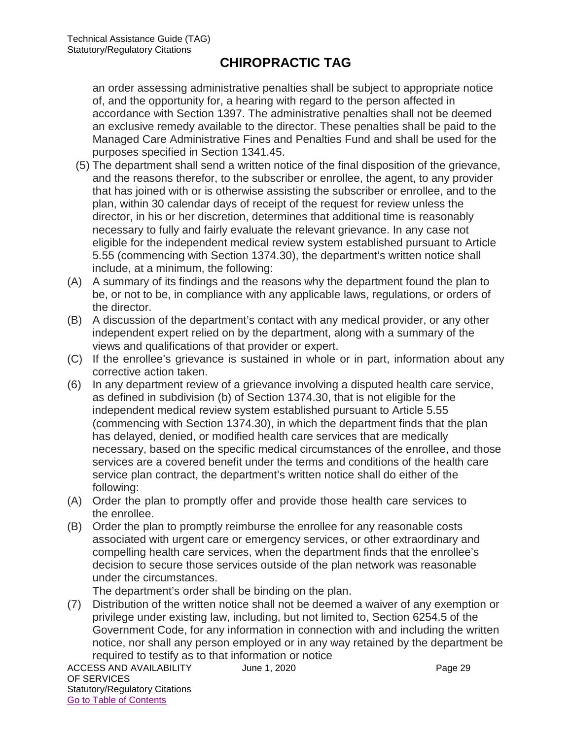an order assessing administrative penalties shall be subject to appropriate notice of, and the opportunity for, a hearing with regard to the person affected in accordance with Section 1397. The administrative penalties shall not be deemed an exclusive remedy available to the director. These penalties shall be paid to the Managed Care Administrative Fines and Penalties Fund and shall be used for the purposes specified in Section 1341.45.

- (5) The department shall send a written notice of the final disposition of the grievance, and the reasons therefor, to the subscriber or enrollee, the agent, to any provider that has joined with or is otherwise assisting the subscriber or enrollee, and to the plan, within 30 calendar days of receipt of the request for review unless the director, in his or her discretion, determines that additional time is reasonably necessary to fully and fairly evaluate the relevant grievance. In any case not eligible for the independent medical review system established pursuant to Article 5.55 (commencing with Section 1374.30), the department's written notice shall include, at a minimum, the following:
- (A) A summary of its findings and the reasons why the department found the plan to be, or not to be, in compliance with any applicable laws, regulations, or orders of the director.
- (B) A discussion of the department's contact with any medical provider, or any other independent expert relied on by the department, along with a summary of the views and qualifications of that provider or expert.
- (C) If the enrollee's grievance is sustained in whole or in part, information about any corrective action taken.
- (6) In any department review of a grievance involving a disputed health care service, as defined in subdivision (b) of Section 1374.30, that is not eligible for the independent medical review system established pursuant to Article 5.55 (commencing with Section 1374.30), in which the department finds that the plan has delayed, denied, or modified health care services that are medically necessary, based on the specific medical circumstances of the enrollee, and those services are a covered benefit under the terms and conditions of the health care service plan contract, the department's written notice shall do either of the following:
- (A) Order the plan to promptly offer and provide those health care services to the enrollee.
- (B) Order the plan to promptly reimburse the enrollee for any reasonable costs associated with urgent care or emergency services, or other extraordinary and compelling health care services, when the department finds that the enrollee's decision to secure those services outside of the plan network was reasonable under the circumstances.

The department's order shall be binding on the plan.

(7) Distribution of the written notice shall not be deemed a waiver of any exemption or privilege under existing law, including, but not limited to, Section 6254.5 of the Government Code, for any information in connection with and including the written notice, nor shall any person employed or in any way retained by the department be required to testify as to that information or notice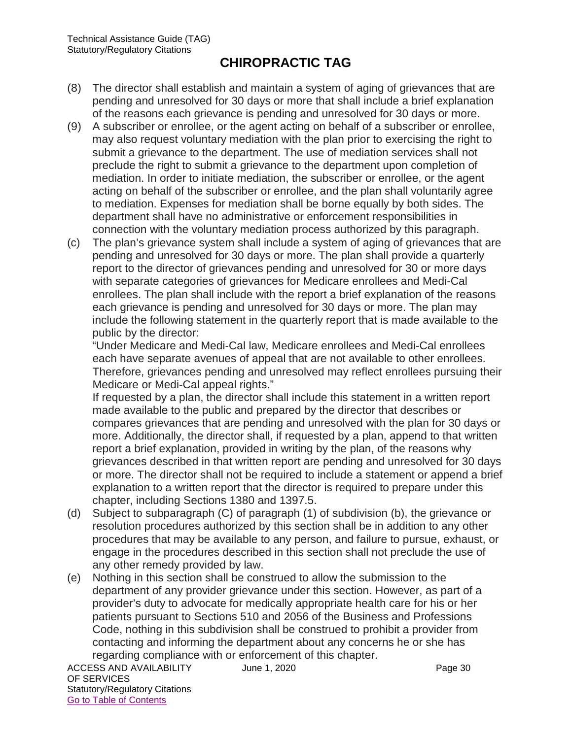- (8) The director shall establish and maintain a system of aging of grievances that are pending and unresolved for 30 days or more that shall include a brief explanation of the reasons each grievance is pending and unresolved for 30 days or more.
- (9) A subscriber or enrollee, or the agent acting on behalf of a subscriber or enrollee, may also request voluntary mediation with the plan prior to exercising the right to submit a grievance to the department. The use of mediation services shall not preclude the right to submit a grievance to the department upon completion of mediation. In order to initiate mediation, the subscriber or enrollee, or the agent acting on behalf of the subscriber or enrollee, and the plan shall voluntarily agree to mediation. Expenses for mediation shall be borne equally by both sides. The department shall have no administrative or enforcement responsibilities in connection with the voluntary mediation process authorized by this paragraph.
- (c) The plan's grievance system shall include a system of aging of grievances that are pending and unresolved for 30 days or more. The plan shall provide a quarterly report to the director of grievances pending and unresolved for 30 or more days with separate categories of grievances for Medicare enrollees and Medi-Cal enrollees. The plan shall include with the report a brief explanation of the reasons each grievance is pending and unresolved for 30 days or more. The plan may include the following statement in the quarterly report that is made available to the public by the director:

"Under Medicare and Medi-Cal law, Medicare enrollees and Medi-Cal enrollees each have separate avenues of appeal that are not available to other enrollees. Therefore, grievances pending and unresolved may reflect enrollees pursuing their Medicare or Medi-Cal appeal rights."

If requested by a plan, the director shall include this statement in a written report made available to the public and prepared by the director that describes or compares grievances that are pending and unresolved with the plan for 30 days or more. Additionally, the director shall, if requested by a plan, append to that written report a brief explanation, provided in writing by the plan, of the reasons why grievances described in that written report are pending and unresolved for 30 days or more. The director shall not be required to include a statement or append a brief explanation to a written report that the director is required to prepare under this chapter, including Sections 1380 and 1397.5.

- (d) Subject to subparagraph (C) of paragraph (1) of subdivision (b), the grievance or resolution procedures authorized by this section shall be in addition to any other procedures that may be available to any person, and failure to pursue, exhaust, or engage in the procedures described in this section shall not preclude the use of any other remedy provided by law.
- (e) Nothing in this section shall be construed to allow the submission to the department of any provider grievance under this section. However, as part of a provider's duty to advocate for medically appropriate health care for his or her patients pursuant to Sections 510 and 2056 of the Business and Professions Code, nothing in this subdivision shall be construed to prohibit a provider from contacting and informing the department about any concerns he or she has regarding compliance with or enforcement of this chapter.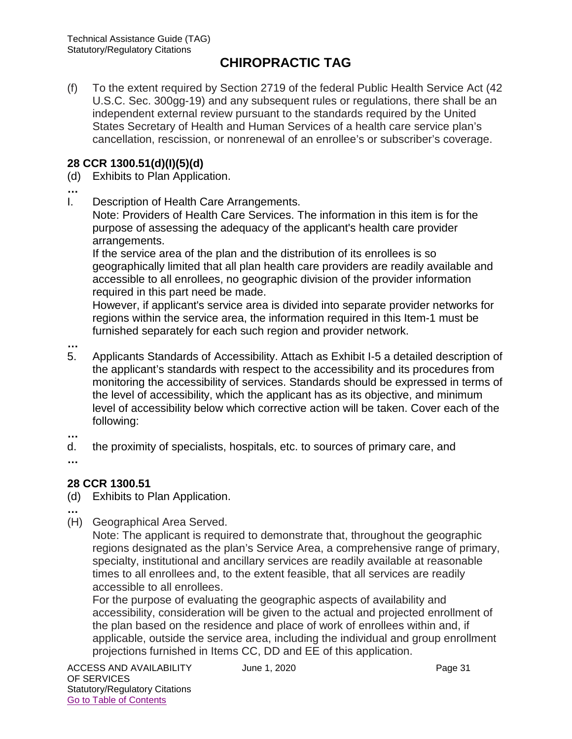(f) To the extent required by Section 2719 of the federal Public Health Service Act (42 U.S.C. Sec. 300gg-19) and any subsequent rules or regulations, there shall be an independent external review pursuant to the standards required by the United States Secretary of Health and Human Services of a health care service plan's cancellation, rescission, or nonrenewal of an enrollee's or subscriber's coverage.

#### **28 CCR 1300.51(d)(I)(5)(d)**

- (d) Exhibits to Plan Application.
- **…**
- I. Description of Health Care Arrangements.

Note: Providers of Health Care Services. The information in this item is for the purpose of assessing the adequacy of the applicant's health care provider arrangements.

If the service area of the plan and the distribution of its enrollees is so geographically limited that all plan health care providers are readily available and accessible to all enrollees, no geographic division of the provider information required in this part need be made.

However, if applicant's service area is divided into separate provider networks for regions within the service area, the information required in this Item-1 must be furnished separately for each such region and provider network.

- **…**
- 5. Applicants Standards of Accessibility. Attach as Exhibit I-5 a detailed description of the applicant's standards with respect to the accessibility and its procedures from monitoring the accessibility of services. Standards should be expressed in terms of the level of accessibility, which the applicant has as its objective, and minimum level of accessibility below which corrective action will be taken. Cover each of the following:
- **…**
- d. the proximity of specialists, hospitals, etc. to sources of primary care, and

**…**

## **28 CCR 1300.51**

(d) Exhibits to Plan Application.

**…**

(H) Geographical Area Served.

Note: The applicant is required to demonstrate that, throughout the geographic regions designated as the plan's Service Area, a comprehensive range of primary, specialty, institutional and ancillary services are readily available at reasonable times to all enrollees and, to the extent feasible, that all services are readily accessible to all enrollees.

For the purpose of evaluating the geographic aspects of availability and accessibility, consideration will be given to the actual and projected enrollment of the plan based on the residence and place of work of enrollees within and, if applicable, outside the service area, including the individual and group enrollment projections furnished in Items CC, DD and EE of this application.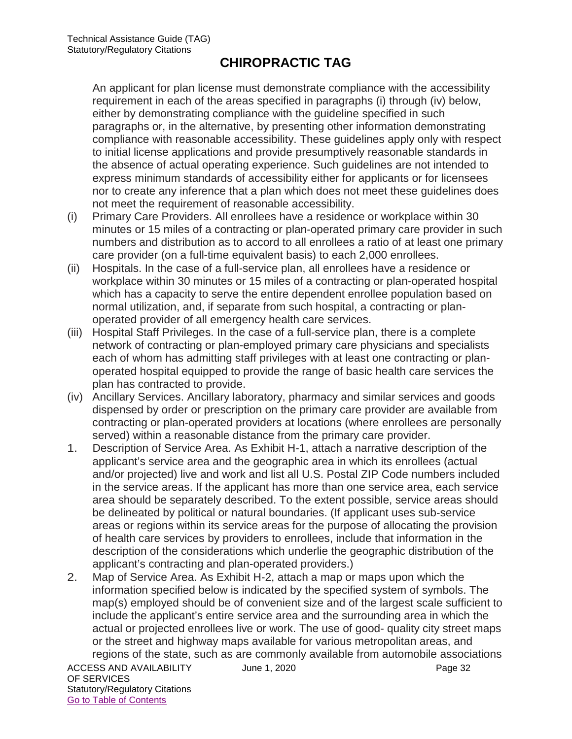An applicant for plan license must demonstrate compliance with the accessibility requirement in each of the areas specified in paragraphs (i) through (iv) below, either by demonstrating compliance with the guideline specified in such paragraphs or, in the alternative, by presenting other information demonstrating compliance with reasonable accessibility. These guidelines apply only with respect to initial license applications and provide presumptively reasonable standards in the absence of actual operating experience. Such guidelines are not intended to express minimum standards of accessibility either for applicants or for licensees nor to create any inference that a plan which does not meet these guidelines does not meet the requirement of reasonable accessibility.

- (i) Primary Care Providers. All enrollees have a residence or workplace within 30 minutes or 15 miles of a contracting or plan-operated primary care provider in such numbers and distribution as to accord to all enrollees a ratio of at least one primary care provider (on a full-time equivalent basis) to each 2,000 enrollees.
- (ii) Hospitals. In the case of a full-service plan, all enrollees have a residence or workplace within 30 minutes or 15 miles of a contracting or plan-operated hospital which has a capacity to serve the entire dependent enrollee population based on normal utilization, and, if separate from such hospital, a contracting or planoperated provider of all emergency health care services.
- (iii) Hospital Staff Privileges. In the case of a full-service plan, there is a complete network of contracting or plan-employed primary care physicians and specialists each of whom has admitting staff privileges with at least one contracting or planoperated hospital equipped to provide the range of basic health care services the plan has contracted to provide.
- (iv) Ancillary Services. Ancillary laboratory, pharmacy and similar services and goods dispensed by order or prescription on the primary care provider are available from contracting or plan-operated providers at locations (where enrollees are personally served) within a reasonable distance from the primary care provider.
- 1. Description of Service Area. As Exhibit H-1, attach a narrative description of the applicant's service area and the geographic area in which its enrollees (actual and/or projected) live and work and list all U.S. Postal ZIP Code numbers included in the service areas. If the applicant has more than one service area, each service area should be separately described. To the extent possible, service areas should be delineated by political or natural boundaries. (If applicant uses sub-service areas or regions within its service areas for the purpose of allocating the provision of health care services by providers to enrollees, include that information in the description of the considerations which underlie the geographic distribution of the applicant's contracting and plan-operated providers.)
- 2. Map of Service Area. As Exhibit H-2, attach a map or maps upon which the information specified below is indicated by the specified system of symbols. The map(s) employed should be of convenient size and of the largest scale sufficient to include the applicant's entire service area and the surrounding area in which the actual or projected enrollees live or work. The use of good- quality city street maps or the street and highway maps available for various metropolitan areas, and regions of the state, such as are commonly available from automobile associations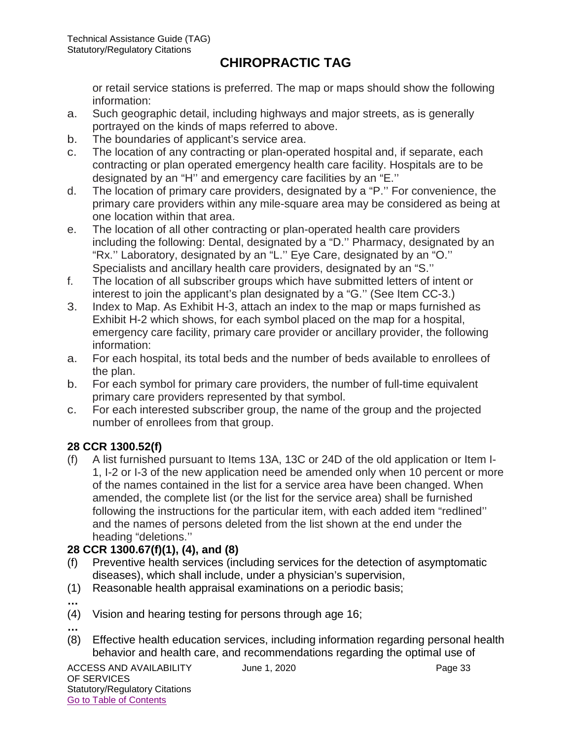or retail service stations is preferred. The map or maps should show the following information:

- a. Such geographic detail, including highways and major streets, as is generally portrayed on the kinds of maps referred to above.
- b. The boundaries of applicant's service area.
- c. The location of any contracting or plan-operated hospital and, if separate, each contracting or plan operated emergency health care facility. Hospitals are to be designated by an "H'' and emergency care facilities by an "E.''
- d. The location of primary care providers, designated by a "P.'' For convenience, the primary care providers within any mile-square area may be considered as being at one location within that area.
- e. The location of all other contracting or plan-operated health care providers including the following: Dental, designated by a "D.'' Pharmacy, designated by an "Rx.'' Laboratory, designated by an "L.'' Eye Care, designated by an "O.'' Specialists and ancillary health care providers, designated by an "S.''
- f. The location of all subscriber groups which have submitted letters of intent or interest to join the applicant's plan designated by a "G.'' (See Item CC-3.)
- 3. Index to Map. As Exhibit H-3, attach an index to the map or maps furnished as Exhibit H-2 which shows, for each symbol placed on the map for a hospital, emergency care facility, primary care provider or ancillary provider, the following information:
- a. For each hospital, its total beds and the number of beds available to enrollees of the plan.
- b. For each symbol for primary care providers, the number of full-time equivalent primary care providers represented by that symbol.
- c. For each interested subscriber group, the name of the group and the projected number of enrollees from that group.

## **28 CCR 1300.52(f)**

(f) A list furnished pursuant to Items 13A, 13C or 24D of the old application or Item I-1, I-2 or I-3 of the new application need be amended only when 10 percent or more of the names contained in the list for a service area have been changed. When amended, the complete list (or the list for the service area) shall be furnished following the instructions for the particular item, with each added item "redlined'' and the names of persons deleted from the list shown at the end under the heading "deletions.''

#### **28 CCR 1300.67(f)(1), (4), and (8)**

- (f) Preventive health services (including services for the detection of asymptomatic diseases), which shall include, under a physician's supervision,
- (1) Reasonable health appraisal examinations on a periodic basis;
- **…**

**…**

- (4) Vision and hearing testing for persons through age 16;
- (8) Effective health education services, including information regarding personal health behavior and health care, and recommendations regarding the optimal use of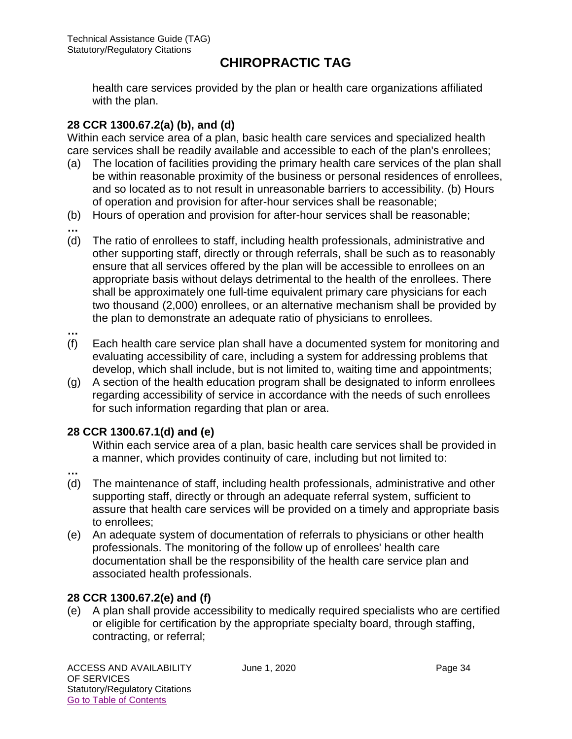health care services provided by the plan or health care organizations affiliated with the plan.

#### **28 CCR 1300.67.2(a) (b), and (d)**

Within each service area of a plan, basic health care services and specialized health care services shall be readily available and accessible to each of the plan's enrollees;

- (a) The location of facilities providing the primary health care services of the plan shall be within reasonable proximity of the business or personal residences of enrollees, and so located as to not result in unreasonable barriers to accessibility. (b) Hours of operation and provision for after-hour services shall be reasonable;
- (b) Hours of operation and provision for after-hour services shall be reasonable;
- **…** (d) The ratio of enrollees to staff, including health professionals, administrative and other supporting staff, directly or through referrals, shall be such as to reasonably ensure that all services offered by the plan will be accessible to enrollees on an appropriate basis without delays detrimental to the health of the enrollees. There shall be approximately one full-time equivalent primary care physicians for each two thousand (2,000) enrollees, or an alternative mechanism shall be provided by the plan to demonstrate an adequate ratio of physicians to enrollees.
- **…**
- (f) Each health care service plan shall have a documented system for monitoring and evaluating accessibility of care, including a system for addressing problems that develop, which shall include, but is not limited to, waiting time and appointments;
- (g) A section of the health education program shall be designated to inform enrollees regarding accessibility of service in accordance with the needs of such enrollees for such information regarding that plan or area.

#### **28 CCR 1300.67.1(d) and (e)**

Within each service area of a plan, basic health care services shall be provided in a manner, which provides continuity of care, including but not limited to:

- **…**
- (d) The maintenance of staff, including health professionals, administrative and other supporting staff, directly or through an adequate referral system, sufficient to assure that health care services will be provided on a timely and appropriate basis to enrollees;
- (e) An adequate system of documentation of referrals to physicians or other health professionals. The monitoring of the follow up of enrollees' health care documentation shall be the responsibility of the health care service plan and associated health professionals.

#### **28 CCR 1300.67.2(e) and (f)**

(e) A plan shall provide accessibility to medically required specialists who are certified or eligible for certification by the appropriate specialty board, through staffing, contracting, or referral;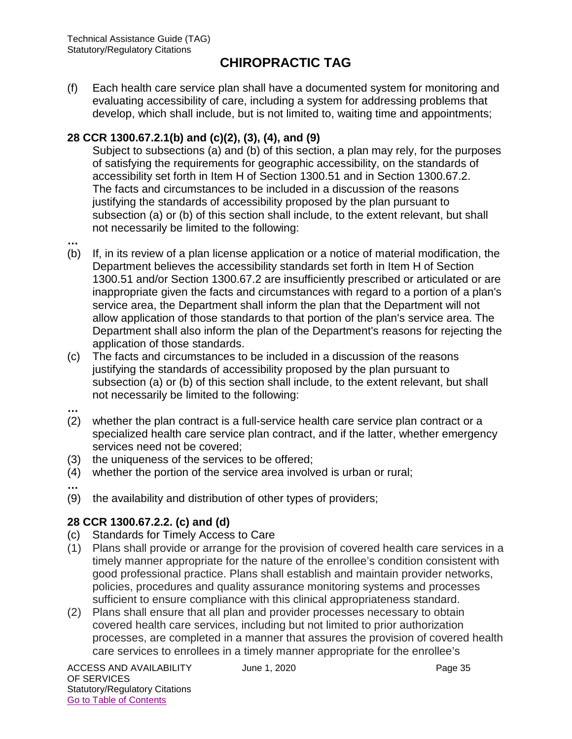(f) Each health care service plan shall have a documented system for monitoring and evaluating accessibility of care, including a system for addressing problems that develop, which shall include, but is not limited to, waiting time and appointments;

#### **28 CCR 1300.67.2.1(b) and (c)(2), (3), (4), and (9)**

Subject to subsections (a) and (b) of this section, a plan may rely, for the purposes of satisfying the requirements for geographic accessibility, on the standards of accessibility set forth in Item H of Section 1300.51 and in Section 1300.67.2. The facts and circumstances to be included in a discussion of the reasons justifying the standards of accessibility proposed by the plan pursuant to subsection (a) or (b) of this section shall include, to the extent relevant, but shall not necessarily be limited to the following:

- (b) If, in its review of a plan license application or a notice of material modification, the Department believes the accessibility standards set forth in Item H of Section 1300.51 and/or Section 1300.67.2 are insufficiently prescribed or articulated or are inappropriate given the facts and circumstances with regard to a portion of a plan's service area, the Department shall inform the plan that the Department will not allow application of those standards to that portion of the plan's service area. The Department shall also inform the plan of the Department's reasons for rejecting the application of those standards.
- (c) The facts and circumstances to be included in a discussion of the reasons justifying the standards of accessibility proposed by the plan pursuant to subsection (a) or (b) of this section shall include, to the extent relevant, but shall not necessarily be limited to the following:
- **…**

**…**

- (2) whether the plan contract is a full-service health care service plan contract or a specialized health care service plan contract, and if the latter, whether emergency services need not be covered;
- (3) the uniqueness of the services to be offered;
- (4) whether the portion of the service area involved is urban or rural;
- **…**
- (9) the availability and distribution of other types of providers;

## **28 CCR 1300.67.2.2. (c) and (d)**

- (c) Standards for Timely Access to Care
- (1) Plans shall provide or arrange for the provision of covered health care services in a timely manner appropriate for the nature of the enrollee's condition consistent with good professional practice. Plans shall establish and maintain provider networks, policies, procedures and quality assurance monitoring systems and processes sufficient to ensure compliance with this clinical appropriateness standard.
- (2) Plans shall ensure that all plan and provider processes necessary to obtain covered health care services, including but not limited to prior authorization processes, are completed in a manner that assures the provision of covered health care services to enrollees in a timely manner appropriate for the enrollee's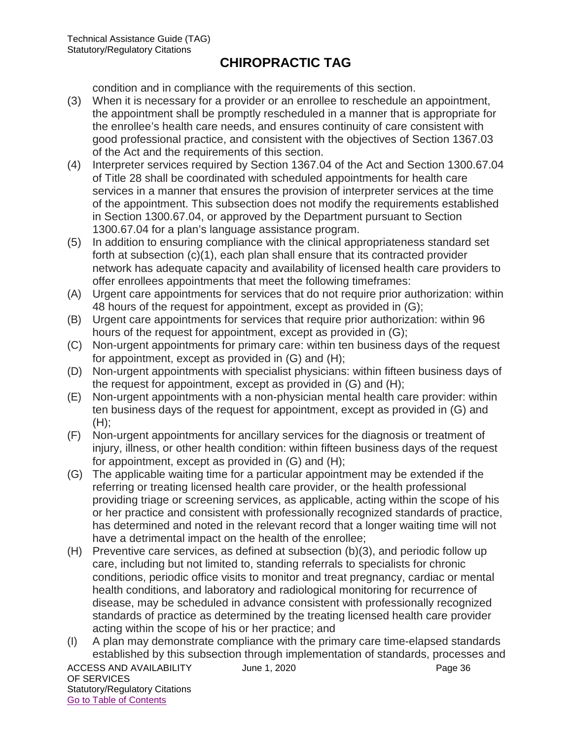condition and in compliance with the requirements of this section.

- (3) When it is necessary for a provider or an enrollee to reschedule an appointment, the appointment shall be promptly rescheduled in a manner that is appropriate for the enrollee's health care needs, and ensures continuity of care consistent with good professional practice, and consistent with the objectives of Section 1367.03 of the Act and the requirements of this section.
- (4) Interpreter services required by Section 1367.04 of the Act and Section 1300.67.04 of Title 28 shall be coordinated with scheduled appointments for health care services in a manner that ensures the provision of interpreter services at the time of the appointment. This subsection does not modify the requirements established in Section 1300.67.04, or approved by the Department pursuant to Section 1300.67.04 for a plan's language assistance program.
- (5) In addition to ensuring compliance with the clinical appropriateness standard set forth at subsection (c)(1), each plan shall ensure that its contracted provider network has adequate capacity and availability of licensed health care providers to offer enrollees appointments that meet the following timeframes:
- (A) Urgent care appointments for services that do not require prior authorization: within 48 hours of the request for appointment, except as provided in (G);
- (B) Urgent care appointments for services that require prior authorization: within 96 hours of the request for appointment, except as provided in (G);
- (C) Non-urgent appointments for primary care: within ten business days of the request for appointment, except as provided in (G) and (H);
- (D) Non-urgent appointments with specialist physicians: within fifteen business days of the request for appointment, except as provided in (G) and (H);
- (E) Non-urgent appointments with a non-physician mental health care provider: within ten business days of the request for appointment, except as provided in (G) and  $(H)$ :
- (F) Non-urgent appointments for ancillary services for the diagnosis or treatment of injury, illness, or other health condition: within fifteen business days of the request for appointment, except as provided in (G) and (H);
- (G) The applicable waiting time for a particular appointment may be extended if the referring or treating licensed health care provider, or the health professional providing triage or screening services, as applicable, acting within the scope of his or her practice and consistent with professionally recognized standards of practice, has determined and noted in the relevant record that a longer waiting time will not have a detrimental impact on the health of the enrollee;
- (H) Preventive care services, as defined at subsection (b)(3), and periodic follow up care, including but not limited to, standing referrals to specialists for chronic conditions, periodic office visits to monitor and treat pregnancy, cardiac or mental health conditions, and laboratory and radiological monitoring for recurrence of disease, may be scheduled in advance consistent with professionally recognized standards of practice as determined by the treating licensed health care provider acting within the scope of his or her practice; and
- (I) A plan may demonstrate compliance with the primary care time-elapsed standards established by this subsection through implementation of standards, processes and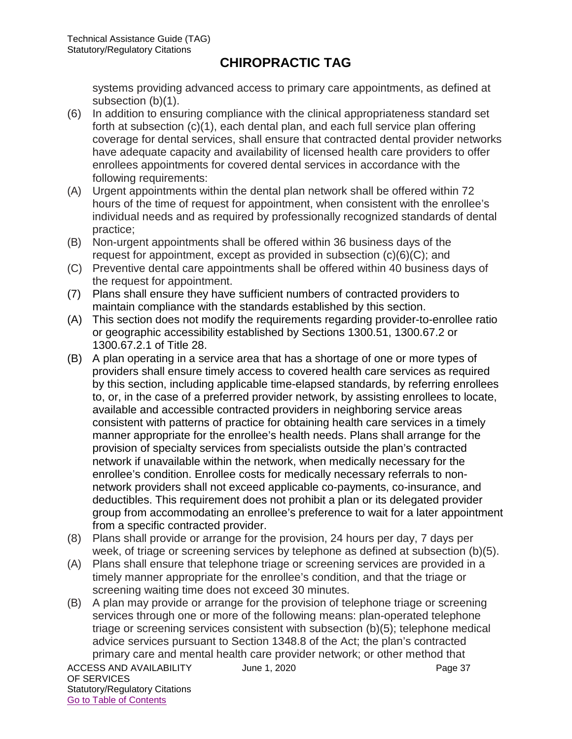systems providing advanced access to primary care appointments, as defined at subsection (b)(1).

- (6) In addition to ensuring compliance with the clinical appropriateness standard set forth at subsection (c)(1), each dental plan, and each full service plan offering coverage for dental services, shall ensure that contracted dental provider networks have adequate capacity and availability of licensed health care providers to offer enrollees appointments for covered dental services in accordance with the following requirements:
- (A) Urgent appointments within the dental plan network shall be offered within 72 hours of the time of request for appointment, when consistent with the enrollee's individual needs and as required by professionally recognized standards of dental practice;
- (B) Non-urgent appointments shall be offered within 36 business days of the request for appointment, except as provided in subsection (c)(6)(C); and
- (C) Preventive dental care appointments shall be offered within 40 business days of the request for appointment.
- (7) Plans shall ensure they have sufficient numbers of contracted providers to maintain compliance with the standards established by this section.
- (A) This section does not modify the requirements regarding provider-to-enrollee ratio or geographic accessibility established by Sections 1300.51, 1300.67.2 or 1300.67.2.1 of Title 28.
- (B) A plan operating in a service area that has a shortage of one or more types of providers shall ensure timely access to covered health care services as required by this section, including applicable time-elapsed standards, by referring enrollees to, or, in the case of a preferred provider network, by assisting enrollees to locate, available and accessible contracted providers in neighboring service areas consistent with patterns of practice for obtaining health care services in a timely manner appropriate for the enrollee's health needs. Plans shall arrange for the provision of specialty services from specialists outside the plan's contracted network if unavailable within the network, when medically necessary for the enrollee's condition. Enrollee costs for medically necessary referrals to nonnetwork providers shall not exceed applicable co-payments, co-insurance, and deductibles. This requirement does not prohibit a plan or its delegated provider group from accommodating an enrollee's preference to wait for a later appointment from a specific contracted provider.
- (8) Plans shall provide or arrange for the provision, 24 hours per day, 7 days per week, of triage or screening services by telephone as defined at subsection (b)(5).
- (A) Plans shall ensure that telephone triage or screening services are provided in a timely manner appropriate for the enrollee's condition, and that the triage or screening waiting time does not exceed 30 minutes.
- (B) A plan may provide or arrange for the provision of telephone triage or screening services through one or more of the following means: plan-operated telephone triage or screening services consistent with subsection (b)(5); telephone medical advice services pursuant to Section 1348.8 of the Act; the plan's contracted primary care and mental health care provider network; or other method that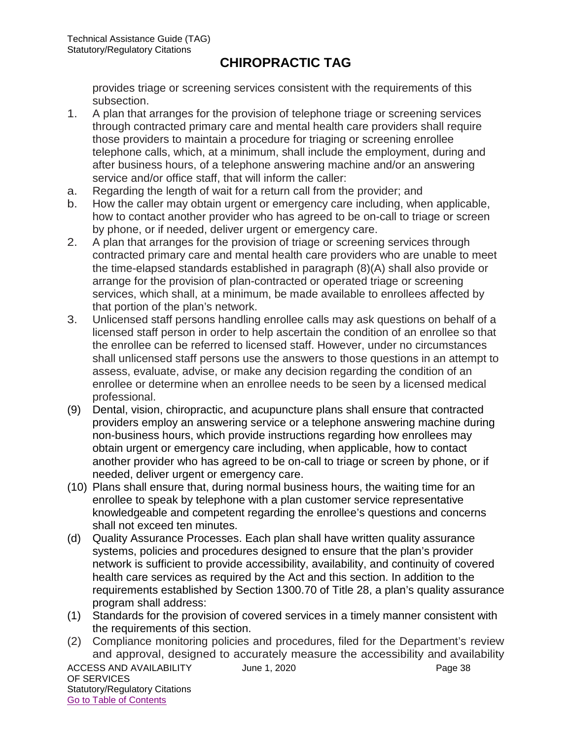provides triage or screening services consistent with the requirements of this subsection.

- 1. A plan that arranges for the provision of telephone triage or screening services through contracted primary care and mental health care providers shall require those providers to maintain a procedure for triaging or screening enrollee telephone calls, which, at a minimum, shall include the employment, during and after business hours, of a telephone answering machine and/or an answering service and/or office staff, that will inform the caller:
- a. Regarding the length of wait for a return call from the provider; and
- b. How the caller may obtain urgent or emergency care including, when applicable, how to contact another provider who has agreed to be on-call to triage or screen by phone, or if needed, deliver urgent or emergency care.
- 2. A plan that arranges for the provision of triage or screening services through contracted primary care and mental health care providers who are unable to meet the time-elapsed standards established in paragraph (8)(A) shall also provide or arrange for the provision of plan-contracted or operated triage or screening services, which shall, at a minimum, be made available to enrollees affected by that portion of the plan's network.
- 3. Unlicensed staff persons handling enrollee calls may ask questions on behalf of a licensed staff person in order to help ascertain the condition of an enrollee so that the enrollee can be referred to licensed staff. However, under no circumstances shall unlicensed staff persons use the answers to those questions in an attempt to assess, evaluate, advise, or make any decision regarding the condition of an enrollee or determine when an enrollee needs to be seen by a licensed medical professional.
- (9) Dental, vision, chiropractic, and acupuncture plans shall ensure that contracted providers employ an answering service or a telephone answering machine during non-business hours, which provide instructions regarding how enrollees may obtain urgent or emergency care including, when applicable, how to contact another provider who has agreed to be on-call to triage or screen by phone, or if needed, deliver urgent or emergency care.
- (10) Plans shall ensure that, during normal business hours, the waiting time for an enrollee to speak by telephone with a plan customer service representative knowledgeable and competent regarding the enrollee's questions and concerns shall not exceed ten minutes.
- (d) Quality Assurance Processes. Each plan shall have written quality assurance systems, policies and procedures designed to ensure that the plan's provider network is sufficient to provide accessibility, availability, and continuity of covered health care services as required by the Act and this section. In addition to the requirements established by Section 1300.70 of Title 28, a plan's quality assurance program shall address:
- (1) Standards for the provision of covered services in a timely manner consistent with the requirements of this section.
- (2) Compliance monitoring policies and procedures, filed for the Department's review and approval, designed to accurately measure the accessibility and availability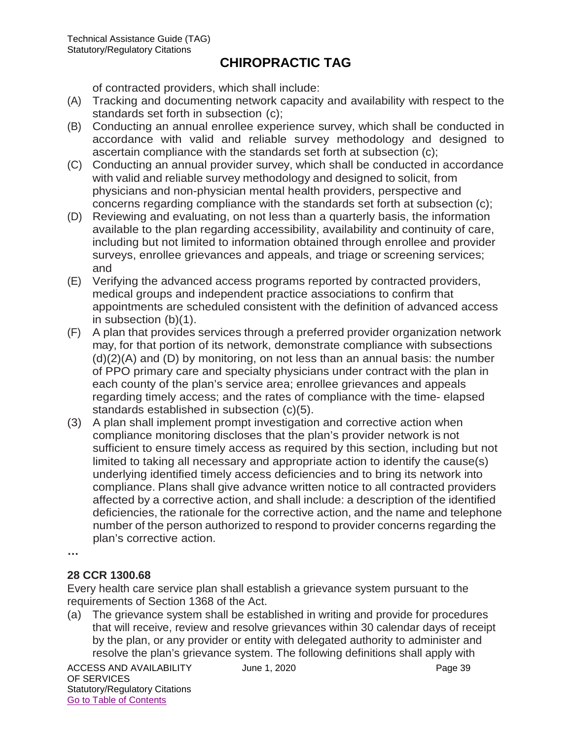of contracted providers, which shall include:

- (A) Tracking and documenting network capacity and availability with respect to the standards set forth in subsection (c);
- (B) Conducting an annual enrollee experience survey, which shall be conducted in accordance with valid and reliable survey methodology and designed to ascertain compliance with the standards set forth at subsection (c);
- (C) Conducting an annual provider survey, which shall be conducted in accordance with valid and reliable survey methodology and designed to solicit, from physicians and non-physician mental health providers, perspective and concerns regarding compliance with the standards set forth at subsection (c);
- (D) Reviewing and evaluating, on not less than a quarterly basis, the information available to the plan regarding accessibility, availability and continuity of care, including but not limited to information obtained through enrollee and provider surveys, enrollee grievances and appeals, and triage or screening services; and
- (E) Verifying the advanced access programs reported by contracted providers, medical groups and independent practice associations to confirm that appointments are scheduled consistent with the definition of advanced access in subsection (b)(1).
- (F) A plan that provides services through a preferred provider organization network may, for that portion of its network, demonstrate compliance with subsections (d)(2)(A) and (D) by monitoring, on not less than an annual basis: the number of PPO primary care and specialty physicians under contract with the plan in each county of the plan's service area; enrollee grievances and appeals regarding timely access; and the rates of compliance with the time- elapsed standards established in subsection (c)(5).
- (3) A plan shall implement prompt investigation and corrective action when compliance monitoring discloses that the plan's provider network is not sufficient to ensure timely access as required by this section, including but not limited to taking all necessary and appropriate action to identify the cause(s) underlying identified timely access deficiencies and to bring its network into compliance. Plans shall give advance written notice to all contracted providers affected by a corrective action, and shall include: a description of the identified deficiencies, the rationale for the corrective action, and the name and telephone number of the person authorized to respond to provider concerns regarding the plan's corrective action.

**…**

#### **28 CCR 1300.68**

Every health care service plan shall establish a grievance system pursuant to the requirements of Section 1368 of the Act.

(a) The grievance system shall be established in writing and provide for procedures that will receive, review and resolve grievances within 30 calendar days of receipt by the plan, or any provider or entity with delegated authority to administer and resolve the plan's grievance system. The following definitions shall apply with

ACCESS AND AVAILABILITY June 1, 2020 OF SERVICES Statutory/Regulatory Citations Go to Table of Contents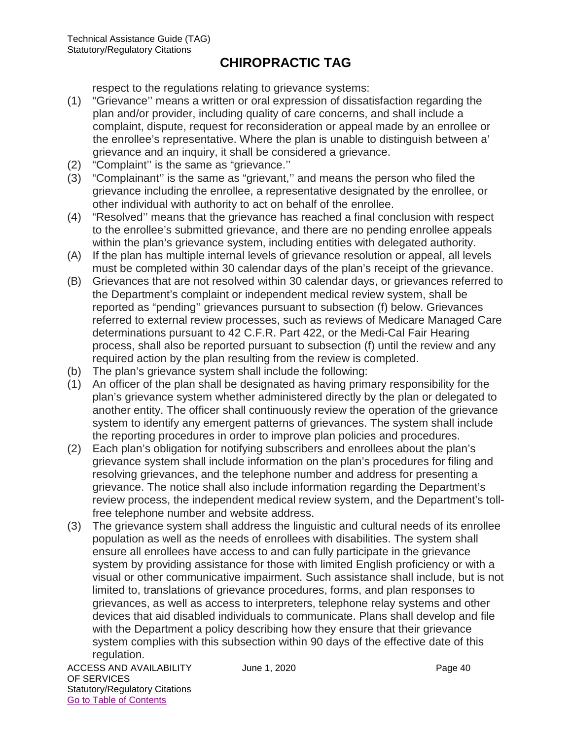respect to the regulations relating to grievance systems:

- (1) "Grievance'' means a written or oral expression of dissatisfaction regarding the plan and/or provider, including quality of care concerns, and shall include a complaint, dispute, request for reconsideration or appeal made by an enrollee or the enrollee's representative. Where the plan is unable to distinguish between a' grievance and an inquiry, it shall be considered a grievance.
- (2) "Complaint'' is the same as "grievance.''
- (3) "Complainant'' is the same as "grievant,'' and means the person who filed the grievance including the enrollee, a representative designated by the enrollee, or other individual with authority to act on behalf of the enrollee.
- (4) "Resolved'' means that the grievance has reached a final conclusion with respect to the enrollee's submitted grievance, and there are no pending enrollee appeals within the plan's grievance system, including entities with delegated authority.
- (A) If the plan has multiple internal levels of grievance resolution or appeal, all levels must be completed within 30 calendar days of the plan's receipt of the grievance.
- (B) Grievances that are not resolved within 30 calendar days, or grievances referred to the Department's complaint or independent medical review system, shall be reported as "pending'' grievances pursuant to subsection (f) below. Grievances referred to external review processes, such as reviews of Medicare Managed Care determinations pursuant to 42 C.F.R. Part 422, or the Medi-Cal Fair Hearing process, shall also be reported pursuant to subsection (f) until the review and any required action by the plan resulting from the review is completed.
- (b) The plan's grievance system shall include the following:
- (1) An officer of the plan shall be designated as having primary responsibility for the plan's grievance system whether administered directly by the plan or delegated to another entity. The officer shall continuously review the operation of the grievance system to identify any emergent patterns of grievances. The system shall include the reporting procedures in order to improve plan policies and procedures.
- (2) Each plan's obligation for notifying subscribers and enrollees about the plan's grievance system shall include information on the plan's procedures for filing and resolving grievances, and the telephone number and address for presenting a grievance. The notice shall also include information regarding the Department's review process, the independent medical review system, and the Department's tollfree telephone number and website address.
- (3) The grievance system shall address the linguistic and cultural needs of its enrollee population as well as the needs of enrollees with disabilities. The system shall ensure all enrollees have access to and can fully participate in the grievance system by providing assistance for those with limited English proficiency or with a visual or other communicative impairment. Such assistance shall include, but is not limited to, translations of grievance procedures, forms, and plan responses to grievances, as well as access to interpreters, telephone relay systems and other devices that aid disabled individuals to communicate. Plans shall develop and file with the Department a policy describing how they ensure that their grievance system complies with this subsection within 90 days of the effective date of this regulation.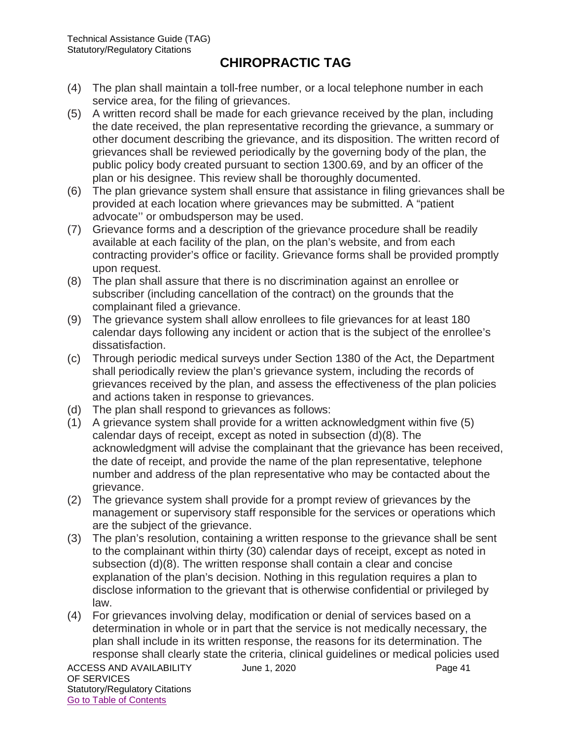- (4) The plan shall maintain a toll-free number, or a local telephone number in each service area, for the filing of grievances.
- (5) A written record shall be made for each grievance received by the plan, including the date received, the plan representative recording the grievance, a summary or other document describing the grievance, and its disposition. The written record of grievances shall be reviewed periodically by the governing body of the plan, the public policy body created pursuant to section 1300.69, and by an officer of the plan or his designee. This review shall be thoroughly documented.
- (6) The plan grievance system shall ensure that assistance in filing grievances shall be provided at each location where grievances may be submitted. A "patient advocate'' or ombudsperson may be used.
- (7) Grievance forms and a description of the grievance procedure shall be readily available at each facility of the plan, on the plan's website, and from each contracting provider's office or facility. Grievance forms shall be provided promptly upon request.
- (8) The plan shall assure that there is no discrimination against an enrollee or subscriber (including cancellation of the contract) on the grounds that the complainant filed a grievance.
- (9) The grievance system shall allow enrollees to file grievances for at least 180 calendar days following any incident or action that is the subject of the enrollee's dissatisfaction.
- (c) Through periodic medical surveys under Section 1380 of the Act, the Department shall periodically review the plan's grievance system, including the records of grievances received by the plan, and assess the effectiveness of the plan policies and actions taken in response to grievances.
- (d) The plan shall respond to grievances as follows:
- (1) A grievance system shall provide for a written acknowledgment within five (5) calendar days of receipt, except as noted in subsection (d)(8). The acknowledgment will advise the complainant that the grievance has been received, the date of receipt, and provide the name of the plan representative, telephone number and address of the plan representative who may be contacted about the grievance.
- (2) The grievance system shall provide for a prompt review of grievances by the management or supervisory staff responsible for the services or operations which are the subject of the grievance.
- (3) The plan's resolution, containing a written response to the grievance shall be sent to the complainant within thirty (30) calendar days of receipt, except as noted in subsection (d)(8). The written response shall contain a clear and concise explanation of the plan's decision. Nothing in this regulation requires a plan to disclose information to the grievant that is otherwise confidential or privileged by law.
- (4) For grievances involving delay, modification or denial of services based on a determination in whole or in part that the service is not medically necessary, the plan shall include in its written response, the reasons for its determination. The response shall clearly state the criteria, clinical guidelines or medical policies used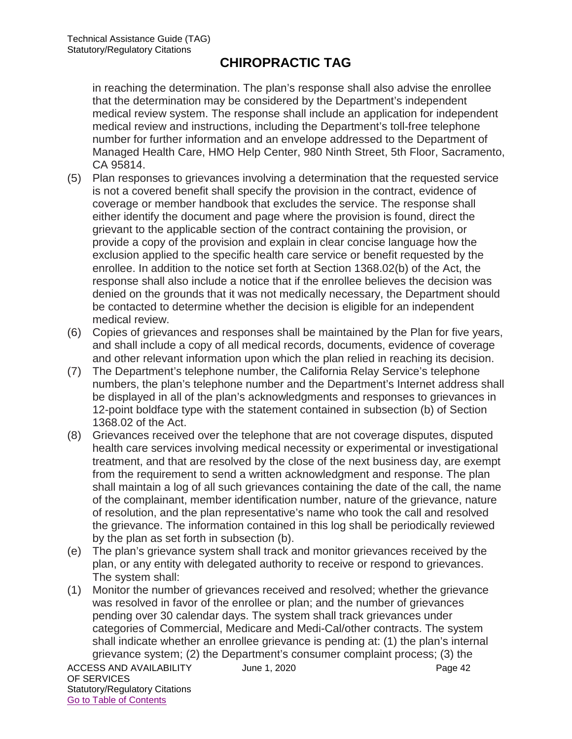in reaching the determination. The plan's response shall also advise the enrollee that the determination may be considered by the Department's independent medical review system. The response shall include an application for independent medical review and instructions, including the Department's toll-free telephone number for further information and an envelope addressed to the Department of Managed Health Care, HMO Help Center, 980 Ninth Street, 5th Floor, Sacramento, CA 95814.

- (5) Plan responses to grievances involving a determination that the requested service is not a covered benefit shall specify the provision in the contract, evidence of coverage or member handbook that excludes the service. The response shall either identify the document and page where the provision is found, direct the grievant to the applicable section of the contract containing the provision, or provide a copy of the provision and explain in clear concise language how the exclusion applied to the specific health care service or benefit requested by the enrollee. In addition to the notice set forth at Section 1368.02(b) of the Act, the response shall also include a notice that if the enrollee believes the decision was denied on the grounds that it was not medically necessary, the Department should be contacted to determine whether the decision is eligible for an independent medical review.
- (6) Copies of grievances and responses shall be maintained by the Plan for five years, and shall include a copy of all medical records, documents, evidence of coverage and other relevant information upon which the plan relied in reaching its decision.
- (7) The Department's telephone number, the California Relay Service's telephone numbers, the plan's telephone number and the Department's Internet address shall be displayed in all of the plan's acknowledgments and responses to grievances in 12-point boldface type with the statement contained in subsection (b) of Section 1368.02 of the Act.
- (8) Grievances received over the telephone that are not coverage disputes, disputed health care services involving medical necessity or experimental or investigational treatment, and that are resolved by the close of the next business day, are exempt from the requirement to send a written acknowledgment and response. The plan shall maintain a log of all such grievances containing the date of the call, the name of the complainant, member identification number, nature of the grievance, nature of resolution, and the plan representative's name who took the call and resolved the grievance. The information contained in this log shall be periodically reviewed by the plan as set forth in subsection (b).
- (e) The plan's grievance system shall track and monitor grievances received by the plan, or any entity with delegated authority to receive or respond to grievances. The system shall:
- ACCESS AND AVAILABILITY June 1, 2020 (1) Monitor the number of grievances received and resolved; whether the grievance was resolved in favor of the enrollee or plan; and the number of grievances pending over 30 calendar days. The system shall track grievances under categories of Commercial, Medicare and Medi-Cal/other contracts. The system shall indicate whether an enrollee grievance is pending at: (1) the plan's internal grievance system; (2) the Department's consumer complaint process; (3) the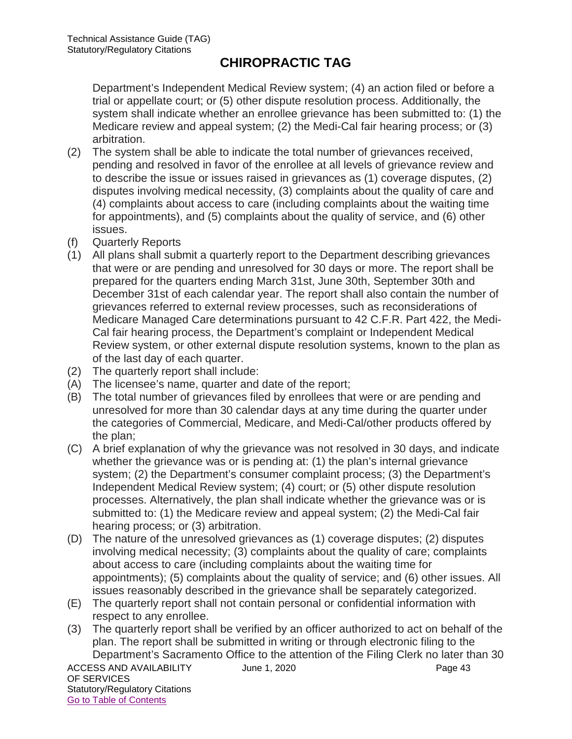Department's Independent Medical Review system; (4) an action filed or before a trial or appellate court; or (5) other dispute resolution process. Additionally, the system shall indicate whether an enrollee grievance has been submitted to: (1) the Medicare review and appeal system; (2) the Medi-Cal fair hearing process; or (3) arbitration.

- (2) The system shall be able to indicate the total number of grievances received, pending and resolved in favor of the enrollee at all levels of grievance review and to describe the issue or issues raised in grievances as (1) coverage disputes, (2) disputes involving medical necessity, (3) complaints about the quality of care and (4) complaints about access to care (including complaints about the waiting time for appointments), and (5) complaints about the quality of service, and (6) other issues.
- (f) Quarterly Reports
- (1) All plans shall submit a quarterly report to the Department describing grievances that were or are pending and unresolved for 30 days or more. The report shall be prepared for the quarters ending March 31st, June 30th, September 30th and December 31st of each calendar year. The report shall also contain the number of grievances referred to external review processes, such as reconsiderations of Medicare Managed Care determinations pursuant to 42 C.F.R. Part 422, the Medi-Cal fair hearing process, the Department's complaint or Independent Medical Review system, or other external dispute resolution systems, known to the plan as of the last day of each quarter.
- (2) The quarterly report shall include:
- (A) The licensee's name, quarter and date of the report;
- (B) The total number of grievances filed by enrollees that were or are pending and unresolved for more than 30 calendar days at any time during the quarter under the categories of Commercial, Medicare, and Medi-Cal/other products offered by the plan;
- (C) A brief explanation of why the grievance was not resolved in 30 days, and indicate whether the grievance was or is pending at: (1) the plan's internal grievance system; (2) the Department's consumer complaint process; (3) the Department's Independent Medical Review system; (4) court; or (5) other dispute resolution processes. Alternatively, the plan shall indicate whether the grievance was or is submitted to: (1) the Medicare review and appeal system; (2) the Medi-Cal fair hearing process; or (3) arbitration.
- (D) The nature of the unresolved grievances as (1) coverage disputes; (2) disputes involving medical necessity; (3) complaints about the quality of care; complaints about access to care (including complaints about the waiting time for appointments); (5) complaints about the quality of service; and (6) other issues. All issues reasonably described in the grievance shall be separately categorized.
- (E) The quarterly report shall not contain personal or confidential information with respect to any enrollee.
- ACCESS AND AVAILABILITY June 1, 2020 OF SERVICES Statutory/Regulatory Citations Go to Table of Contents (3) The quarterly report shall be verified by an officer authorized to act on behalf of the plan. The report shall be submitted in writing or through electronic filing to the Department's Sacramento Office to the attention of the Filing Clerk no later than 30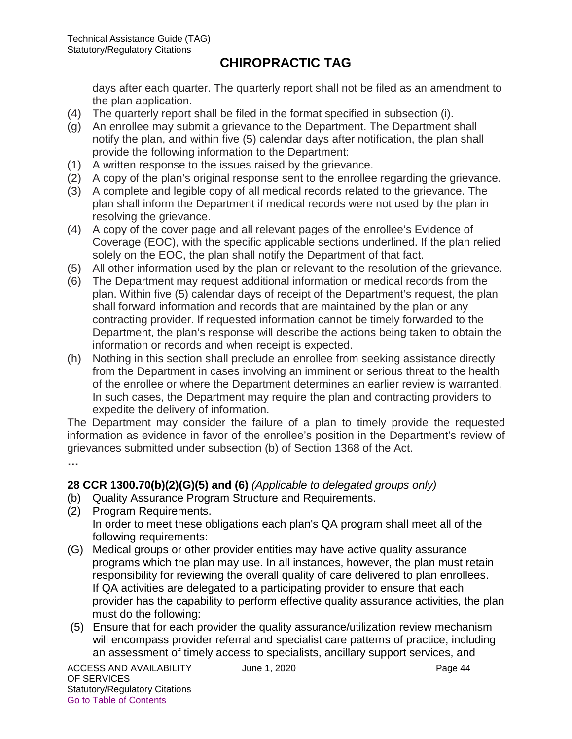days after each quarter. The quarterly report shall not be filed as an amendment to the plan application.

- (4) The quarterly report shall be filed in the format specified in subsection (i).
- (g) An enrollee may submit a grievance to the Department. The Department shall notify the plan, and within five (5) calendar days after notification, the plan shall provide the following information to the Department:
- (1) A written response to the issues raised by the grievance.
- (2) A copy of the plan's original response sent to the enrollee regarding the grievance.
- (3) A complete and legible copy of all medical records related to the grievance. The plan shall inform the Department if medical records were not used by the plan in resolving the grievance.
- (4) A copy of the cover page and all relevant pages of the enrollee's Evidence of Coverage (EOC), with the specific applicable sections underlined. If the plan relied solely on the EOC, the plan shall notify the Department of that fact.
- (5) All other information used by the plan or relevant to the resolution of the grievance.
- (6) The Department may request additional information or medical records from the plan. Within five (5) calendar days of receipt of the Department's request, the plan shall forward information and records that are maintained by the plan or any contracting provider. If requested information cannot be timely forwarded to the Department, the plan's response will describe the actions being taken to obtain the information or records and when receipt is expected.
- (h) Nothing in this section shall preclude an enrollee from seeking assistance directly from the Department in cases involving an imminent or serious threat to the health of the enrollee or where the Department determines an earlier review is warranted. In such cases, the Department may require the plan and contracting providers to expedite the delivery of information.

The Department may consider the failure of a plan to timely provide the requested information as evidence in favor of the enrollee's position in the Department's review of grievances submitted under subsection (b) of Section 1368 of the Act.

**…**

#### **28 CCR 1300.70(b)(2)(G)(5) and (6)** *(Applicable to delegated groups only)*

- (b) Quality Assurance Program Structure and Requirements.
- (2) Program Requirements. In order to meet these obligations each plan's QA program shall meet all of the following requirements:
- (G) Medical groups or other provider entities may have active quality assurance programs which the plan may use. In all instances, however, the plan must retain responsibility for reviewing the overall quality of care delivered to plan enrollees. If QA activities are delegated to a participating provider to ensure that each provider has the capability to perform effective quality assurance activities, the plan must do the following:
- (5) Ensure that for each provider the quality assurance/utilization review mechanism will encompass provider referral and specialist care patterns of practice, including an assessment of timely access to specialists, ancillary support services, and